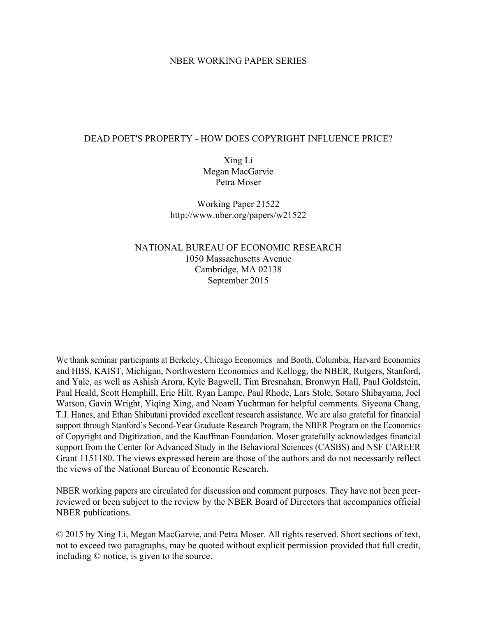# NBER WORKING PAPER SERIES

## DEAD POET'S PROPERTY - HOW DOES COPYRIGHT INFLUENCE PRICE?

Xing Li Megan MacGarvie Petra Moser

Working Paper 21522 http://www.nber.org/papers/w21522

NATIONAL BUREAU OF ECONOMIC RESEARCH 1050 Massachusetts Avenue Cambridge, MA 02138 September 2015

We thank seminar participants at Berkeley, Chicago Economics and Booth, Columbia, Harvard Economics and HBS, KAIST, Michigan, Northwestern Economics and Kellogg, the NBER, Rutgers, Stanford, and Yale, as well as Ashish Arora, Kyle Bagwell, Tim Bresnahan, Bronwyn Hall, Paul Goldstein, Paul Heald, Scott Hemphill, Eric Hilt, Ryan Lampe, Paul Rhode, Lars Stole, Sotaro Shibayama, Joel Watson, Gavin Wright, Yiqing Xing, and Noam Yuchtman for helpful comments. Siyeona Chang, T.J. Hanes, and Ethan Shibutani provided excellent research assistance. We are also grateful for financial support through Stanford's Second-Year Graduate Research Program, the NBER Program on the Economics of Copyright and Digitization, and the Kauffman Foundation. Moser gratefully acknowledges financial support from the Center for Advanced Study in the Behavioral Sciences (CASBS) and NSF CAREER Grant 1151180. The views expressed herein are those of the authors and do not necessarily reflect the views of the National Bureau of Economic Research.

NBER working papers are circulated for discussion and comment purposes. They have not been peerreviewed or been subject to the review by the NBER Board of Directors that accompanies official NBER publications.

© 2015 by Xing Li, Megan MacGarvie, and Petra Moser. All rights reserved. Short sections of text, not to exceed two paragraphs, may be quoted without explicit permission provided that full credit, including © notice, is given to the source.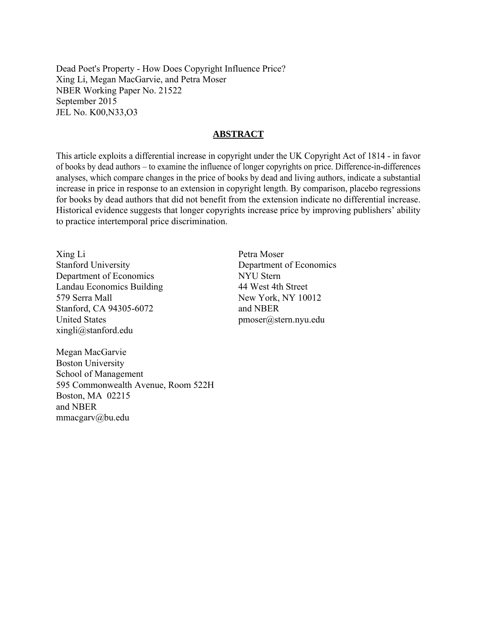Dead Poet's Property - How Does Copyright Influence Price? Xing Li, Megan MacGarvie, and Petra Moser NBER Working Paper No. 21522 September 2015 JEL No. K00,N33,O3

# **ABSTRACT**

This article exploits a differential increase in copyright under the UK Copyright Act of 1814 - in favor of books by dead authors – to examine the influence of longer copyrights on price. Difference-in-differences analyses, which compare changes in the price of books by dead and living authors, indicate a substantial increase in price in response to an extension in copyright length. By comparison, placebo regressions for books by dead authors that did not benefit from the extension indicate no differential increase. Historical evidence suggests that longer copyrights increase price by improving publishers' ability to practice intertemporal price discrimination.

Xing Li Stanford University Department of Economics Landau Economics Building 579 Serra Mall Stanford, CA 94305-6072 United States xingli@stanford.edu

Petra Moser Department of Economics NYU Stern 44 West 4th Street New York, NY 10012 and NBER pmoser@stern.nyu.edu

Megan MacGarvie Boston University School of Management 595 Commonwealth Avenue, Room 522H Boston, MA 02215 and NBER mmacgarv@bu.edu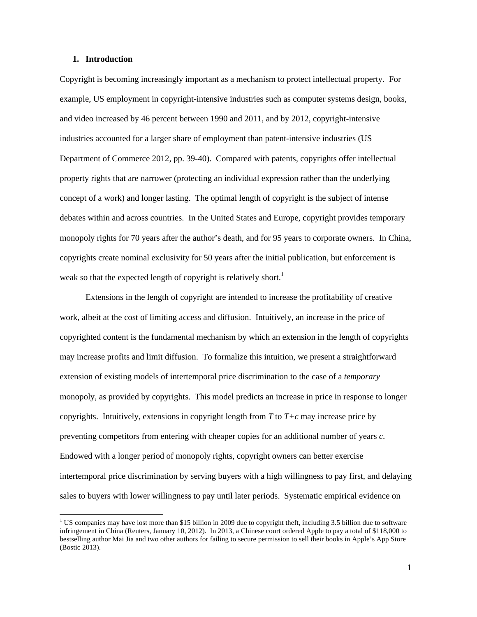### **1. Introduction**

l

Copyright is becoming increasingly important as a mechanism to protect intellectual property. For example, US employment in copyright-intensive industries such as computer systems design, books, and video increased by 46 percent between 1990 and 2011, and by 2012, copyright-intensive industries accounted for a larger share of employment than patent-intensive industries (US Department of Commerce 2012, pp. 39-40). Compared with patents, copyrights offer intellectual property rights that are narrower (protecting an individual expression rather than the underlying concept of a work) and longer lasting. The optimal length of copyright is the subject of intense debates within and across countries. In the United States and Europe, copyright provides temporary monopoly rights for 70 years after the author's death, and for 95 years to corporate owners. In China, copyrights create nominal exclusivity for 50 years after the initial publication, but enforcement is weak so that the expected length of copyright is relatively short.<sup>1</sup>

Extensions in the length of copyright are intended to increase the profitability of creative work, albeit at the cost of limiting access and diffusion. Intuitively, an increase in the price of copyrighted content is the fundamental mechanism by which an extension in the length of copyrights may increase profits and limit diffusion. To formalize this intuition, we present a straightforward extension of existing models of intertemporal price discrimination to the case of a *temporary* monopoly, as provided by copyrights. This model predicts an increase in price in response to longer copyrights. Intuitively, extensions in copyright length from  $T$  to  $T+c$  may increase price by preventing competitors from entering with cheaper copies for an additional number of years *c*. Endowed with a longer period of monopoly rights, copyright owners can better exercise intertemporal price discrimination by serving buyers with a high willingness to pay first, and delaying sales to buyers with lower willingness to pay until later periods. Systematic empirical evidence on

<sup>&</sup>lt;sup>1</sup> US companies may have lost more than \$15 billion in 2009 due to copyright theft, including 3.5 billion due to software infringement in China (Reuters, January 10, 2012). In 2013, a Chinese court ordered Apple to pay a total of \$118,000 to bestselling author Mai Jia and two other authors for failing to secure permission to sell their books in Apple's App Store (Bostic 2013).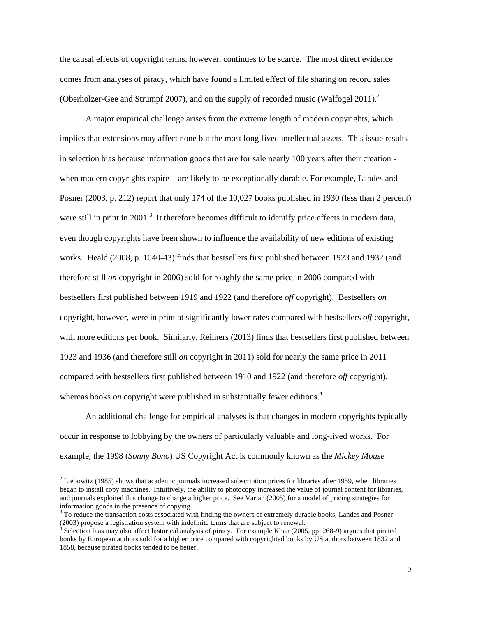the causal effects of copyright terms, however, continues to be scarce. The most direct evidence comes from analyses of piracy, which have found a limited effect of file sharing on record sales (Oberholzer-Gee and Strumpf 2007), and on the supply of recorded music (Walfogel 2011).<sup>2</sup>

A major empirical challenge arises from the extreme length of modern copyrights, which implies that extensions may affect none but the most long-lived intellectual assets. This issue results in selection bias because information goods that are for sale nearly 100 years after their creation when modern copyrights expire – are likely to be exceptionally durable. For example, Landes and Posner (2003, p. 212) report that only 174 of the 10,027 books published in 1930 (less than 2 percent) were still in print in 2001.<sup>3</sup> It therefore becomes difficult to identify price effects in modern data, even though copyrights have been shown to influence the availability of new editions of existing works. Heald (2008, p. 1040-43) finds that bestsellers first published between 1923 and 1932 (and therefore still *on* copyright in 2006) sold for roughly the same price in 2006 compared with bestsellers first published between 1919 and 1922 (and therefore *off* copyright). Bestsellers *on* copyright, however, were in print at significantly lower rates compared with bestsellers *off* copyright, with more editions per book. Similarly, Reimers (2013) finds that bestsellers first published between 1923 and 1936 (and therefore still *on* copyright in 2011) sold for nearly the same price in 2011 compared with bestsellers first published between 1910 and 1922 (and therefore *off* copyright), whereas books *on* copyright were published in substantially fewer editions.<sup>4</sup>

An additional challenge for empirical analyses is that changes in modern copyrights typically occur in response to lobbying by the owners of particularly valuable and long-lived works. For example, the 1998 (*Sonny Bono*) US Copyright Act is commonly known as the *Mickey Mouse* 

 $\overline{\phantom{a}}$ 

 $2$  Liebowitz (1985) shows that academic journals increased subscription prices for libraries after 1959, when libraries began to install copy machines. Intuitively, the ability to photocopy increased the value of journal content for libraries, and journals exploited this change to charge a higher price. See Varian (2005) for a model of pricing strategies for information goods in the presence of copying.<br> $3$  To reduce the transaction costs associated with finding the owners of extremely durable books, Landes and Posner

<sup>(2003)</sup> propose a registration system with indefinite terms that are subject to renewal.

Selection bias may also affect historical analysis of piracy. For example Khan (2005, pp. 268-9) argues that pirated books by European authors sold for a higher price compared with copyrighted books by US authors between 1832 and 1858, because pirated books tended to be better.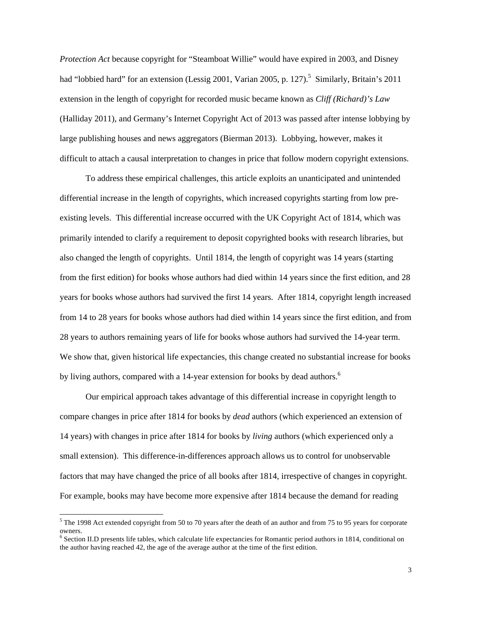*Protection Act* because copyright for "Steamboat Willie" would have expired in 2003, and Disney had "lobbied hard" for an extension (Lessig 2001, Varian 2005, p. 127).<sup>5</sup> Similarly, Britain's 2011 extension in the length of copyright for recorded music became known as *Cliff (Richard)'s Law*  (Halliday 2011), and Germany's Internet Copyright Act of 2013 was passed after intense lobbying by large publishing houses and news aggregators (Bierman 2013). Lobbying, however, makes it difficult to attach a causal interpretation to changes in price that follow modern copyright extensions.

To address these empirical challenges, this article exploits an unanticipated and unintended differential increase in the length of copyrights, which increased copyrights starting from low preexisting levels. This differential increase occurred with the UK Copyright Act of 1814, which was primarily intended to clarify a requirement to deposit copyrighted books with research libraries, but also changed the length of copyrights. Until 1814, the length of copyright was 14 years (starting from the first edition) for books whose authors had died within 14 years since the first edition, and 28 years for books whose authors had survived the first 14 years. After 1814, copyright length increased from 14 to 28 years for books whose authors had died within 14 years since the first edition, and from 28 years to authors remaining years of life for books whose authors had survived the 14-year term. We show that, given historical life expectancies, this change created no substantial increase for books by living authors, compared with a 14-year extension for books by dead authors.<sup>6</sup>

Our empirical approach takes advantage of this differential increase in copyright length to compare changes in price after 1814 for books by *dead* authors (which experienced an extension of 14 years) with changes in price after 1814 for books by *living* authors (which experienced only a small extension). This difference-in-differences approach allows us to control for unobservable factors that may have changed the price of all books after 1814, irrespective of changes in copyright. For example, books may have become more expensive after 1814 because the demand for reading

l

 $5$  The 1998 Act extended copyright from 50 to 70 years after the death of an author and from 75 to 95 years for corporate owners.

 $6$  Section II.D presents life tables, which calculate life expectancies for Romantic period authors in 1814, conditional on the author having reached 42, the age of the average author at the time of the first edition.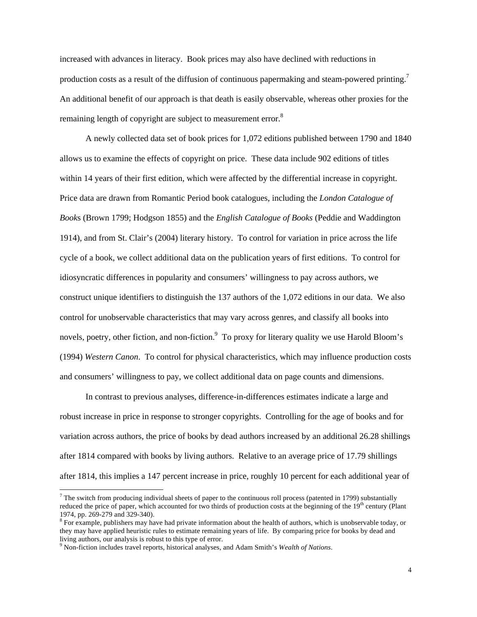increased with advances in literacy. Book prices may also have declined with reductions in production costs as a result of the diffusion of continuous papermaking and steam-powered printing.7 An additional benefit of our approach is that death is easily observable, whereas other proxies for the remaining length of copyright are subject to measurement error.<sup>8</sup>

A newly collected data set of book prices for 1,072 editions published between 1790 and 1840 allows us to examine the effects of copyright on price. These data include 902 editions of titles within 14 years of their first edition, which were affected by the differential increase in copyright. Price data are drawn from Romantic Period book catalogues, including the *London Catalogue of Book*s (Brown 1799; Hodgson 1855) and the *English Catalogue of Books* (Peddie and Waddington 1914), and from St. Clair's (2004) literary history. To control for variation in price across the life cycle of a book, we collect additional data on the publication years of first editions. To control for idiosyncratic differences in popularity and consumers' willingness to pay across authors, we construct unique identifiers to distinguish the 137 authors of the 1,072 editions in our data. We also control for unobservable characteristics that may vary across genres, and classify all books into novels, poetry, other fiction, and non-fiction.<sup>9</sup> To proxy for literary quality we use Harold Bloom's (1994) *Western Canon*. To control for physical characteristics, which may influence production costs and consumers' willingness to pay, we collect additional data on page counts and dimensions.

In contrast to previous analyses, difference-in-differences estimates indicate a large and robust increase in price in response to stronger copyrights. Controlling for the age of books and for variation across authors, the price of books by dead authors increased by an additional 26.28 shillings after 1814 compared with books by living authors. Relative to an average price of 17.79 shillings after 1814, this implies a 147 percent increase in price, roughly 10 percent for each additional year of

 $\overline{a}$ 

 $<sup>7</sup>$  The switch from producing individual sheets of paper to the continuous roll process (patented in 1799) substantially</sup> reduced the price of paper, which accounted for two thirds of production costs at the beginning of the  $19<sup>th</sup>$  century (Plant 1974, pp. 269-279 and 329-340).<br><sup>8</sup> For example, publishers may have had private information about the health of authors, which is unobservable today, or

they may have applied heuristic rules to estimate remaining years of life. By comparing price for books by dead and living authors, our analysis is robust to this type of error.

<sup>&</sup>lt;sup>9</sup> Non-fiction includes travel reports, historical analyses, and Adam Smith's *Wealth of Nations*.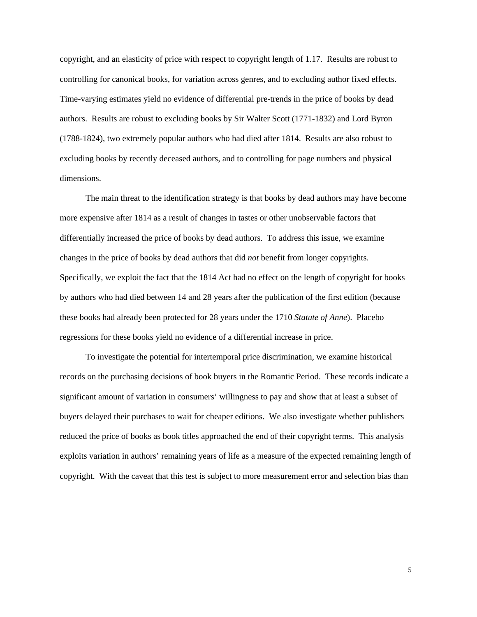copyright, and an elasticity of price with respect to copyright length of 1.17. Results are robust to controlling for canonical books, for variation across genres, and to excluding author fixed effects. Time-varying estimates yield no evidence of differential pre-trends in the price of books by dead authors. Results are robust to excluding books by Sir Walter Scott (1771-1832) and Lord Byron (1788-1824), two extremely popular authors who had died after 1814. Results are also robust to excluding books by recently deceased authors, and to controlling for page numbers and physical dimensions.

The main threat to the identification strategy is that books by dead authors may have become more expensive after 1814 as a result of changes in tastes or other unobservable factors that differentially increased the price of books by dead authors. To address this issue, we examine changes in the price of books by dead authors that did *not* benefit from longer copyrights. Specifically, we exploit the fact that the 1814 Act had no effect on the length of copyright for books by authors who had died between 14 and 28 years after the publication of the first edition (because these books had already been protected for 28 years under the 1710 *Statute of Anne*). Placebo regressions for these books yield no evidence of a differential increase in price.

To investigate the potential for intertemporal price discrimination, we examine historical records on the purchasing decisions of book buyers in the Romantic Period. These records indicate a significant amount of variation in consumers' willingness to pay and show that at least a subset of buyers delayed their purchases to wait for cheaper editions. We also investigate whether publishers reduced the price of books as book titles approached the end of their copyright terms. This analysis exploits variation in authors' remaining years of life as a measure of the expected remaining length of copyright. With the caveat that this test is subject to more measurement error and selection bias than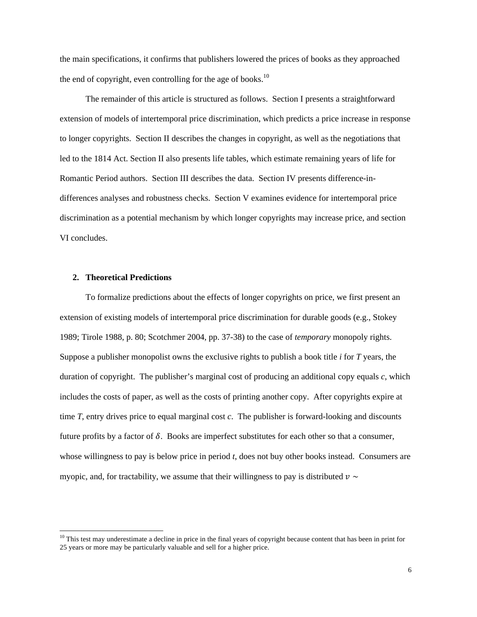the main specifications, it confirms that publishers lowered the prices of books as they approached the end of copyright, even controlling for the age of books.<sup>10</sup>

The remainder of this article is structured as follows. Section I presents a straightforward extension of models of intertemporal price discrimination, which predicts a price increase in response to longer copyrights. Section II describes the changes in copyright, as well as the negotiations that led to the 1814 Act. Section II also presents life tables, which estimate remaining years of life for Romantic Period authors. Section III describes the data. Section IV presents difference-indifferences analyses and robustness checks. Section V examines evidence for intertemporal price discrimination as a potential mechanism by which longer copyrights may increase price, and section VI concludes.

## **2. Theoretical Predictions**

 $\overline{a}$ 

 To formalize predictions about the effects of longer copyrights on price, we first present an extension of existing models of intertemporal price discrimination for durable goods (e.g., Stokey 1989; Tirole 1988, p. 80; Scotchmer 2004, pp. 37-38) to the case of *temporary* monopoly rights. Suppose a publisher monopolist owns the exclusive rights to publish a book title *i* for *T* years, the duration of copyright. The publisher's marginal cost of producing an additional copy equals *c*, which includes the costs of paper, as well as the costs of printing another copy. After copyrights expire at time *T*, entry drives price to equal marginal cost *c*. The publisher is forward-looking and discounts future profits by a factor of  $\delta$ . Books are imperfect substitutes for each other so that a consumer, whose willingness to pay is below price in period *t*, does not buy other books instead. Consumers are myopic, and, for tractability, we assume that their willingness to pay is distributed  $v \sim$ 

<sup>&</sup>lt;sup>10</sup> This test may underestimate a decline in price in the final years of copyright because content that has been in print for 25 years or more may be particularly valuable and sell for a higher price.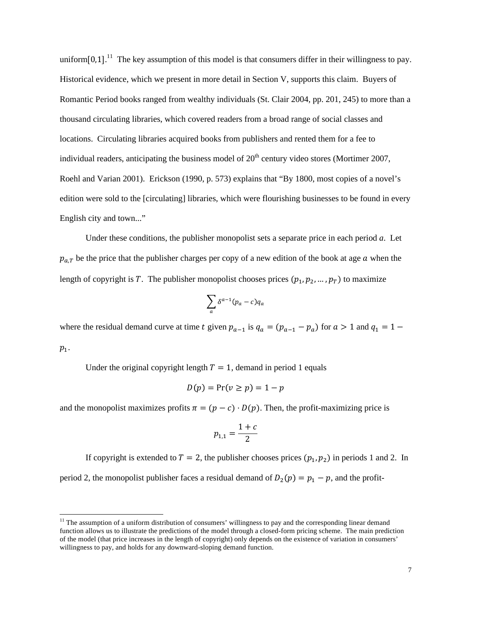uniform $[0,1]$ .<sup>11</sup> The key assumption of this model is that consumers differ in their willingness to pay. Historical evidence, which we present in more detail in Section V, supports this claim. Buyers of Romantic Period books ranged from wealthy individuals (St. Clair 2004, pp. 201, 245) to more than a thousand circulating libraries, which covered readers from a broad range of social classes and locations. Circulating libraries acquired books from publishers and rented them for a fee to individual readers, anticipating the business model of  $20<sup>th</sup>$  century video stores (Mortimer 2007, Roehl and Varian 2001). Erickson (1990, p. 573) explains that "By 1800, most copies of a novel's edition were sold to the [circulating] libraries, which were flourishing businesses to be found in every English city and town..."

Under these conditions, the publisher monopolist sets a separate price in each period *a*. Let  $p_{a,T}$  be the price that the publisher charges per copy of a new edition of the book at age a when the length of copyright is T. The publisher monopolist chooses prices  $(p_1, p_2, ..., p_T)$  to maximize

$$
\sum_{a} \delta^{a-1}(p_a - c) q_a
$$

where the residual demand curve at time t given  $p_{a-1}$  is  $q_a = (p_{a-1} - p_a)$  for  $a > 1$  and  $q_1 = 1$  $p_1$ .

Under the original copyright length  $T = 1$ , demand in period 1 equals

l

$$
D(p) = \Pr(v \ge p) = 1 - p
$$

and the monopolist maximizes profits  $\pi = (p - c) \cdot D(p)$ . Then, the profit-maximizing price is

$$
p_{1,1} = \frac{1+c}{2}
$$

If copyright is extended to  $T = 2$ , the publisher chooses prices  $(p_1, p_2)$  in periods 1 and 2. In period 2, the monopolist publisher faces a residual demand of  $D_2(p) = p_1 - p$ , and the profit-

 $11$  The assumption of a uniform distribution of consumers' willingness to pay and the corresponding linear demand function allows us to illustrate the predictions of the model through a closed-form pricing scheme. The main prediction of the model (that price increases in the length of copyright) only depends on the existence of variation in consumers' willingness to pay, and holds for any downward-sloping demand function.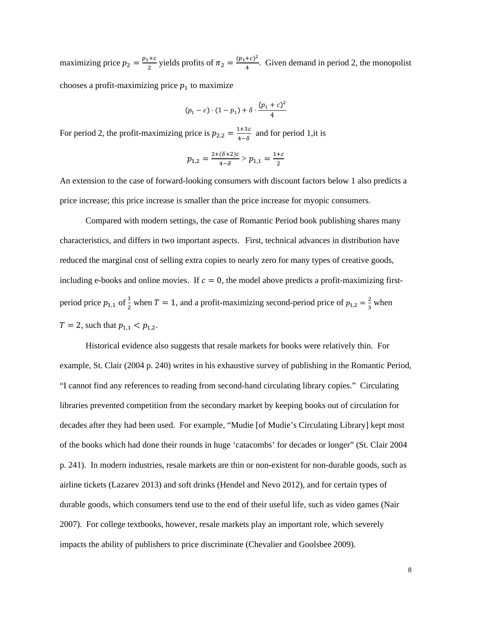maximizing price  $p_2 = \frac{p_1+c}{2}$  yields profits of  $\pi_2 = \frac{(p_1+c)^2}{4}$ . Given demand in period 2, the monopolist chooses a profit-maximizing price  $p_1$  to maximize

$$
(p_1 - c) \cdot (1 - p_1) + \delta \cdot \frac{(p_1 + c)^2}{4}
$$

For period 2, the profit-maximizing price is  $p_{2,2} = \frac{1+3c}{4-\delta}$  and for period 1,it is

$$
p_{1,2} = \frac{2 + (\delta + 2)c}{4 - \delta} > p_{1,1} = \frac{1 + c}{2}
$$

An extension to the case of forward-looking consumers with discount factors below 1 also predicts a price increase; this price increase is smaller than the price increase for myopic consumers.

Compared with modern settings, the case of Romantic Period book publishing shares many characteristics, and differs in two important aspects. First, technical advances in distribution have reduced the marginal cost of selling extra copies to nearly zero for many types of creative goods, including e-books and online movies. If  $c = 0$ , the model above predicts a profit-maximizing firstperiod price  $p_{1,1}$  of  $\frac{1}{2}$  when  $T = 1$ , and a profit-maximizing second-period price of  $p_{1,2} = \frac{2}{3}$  when  $T = 2$ , such that  $p_{1,1} < p_{1,2}$ .

Historical evidence also suggests that resale markets for books were relatively thin. For example, St. Clair (2004 p. 240) writes in his exhaustive survey of publishing in the Romantic Period, "I cannot find any references to reading from second-hand circulating library copies." Circulating libraries prevented competition from the secondary market by keeping books out of circulation for decades after they had been used. For example, "Mudie [of Mudie's Circulating Library] kept most of the books which had done their rounds in huge 'catacombs' for decades or longer" (St. Clair 2004 p. 241). In modern industries, resale markets are thin or non-existent for non-durable goods, such as airline tickets (Lazarev 2013) and soft drinks (Hendel and Nevo 2012), and for certain types of durable goods, which consumers tend use to the end of their useful life, such as video games (Nair 2007). For college textbooks, however, resale markets play an important role, which severely impacts the ability of publishers to price discriminate (Chevalier and Goolsbee 2009).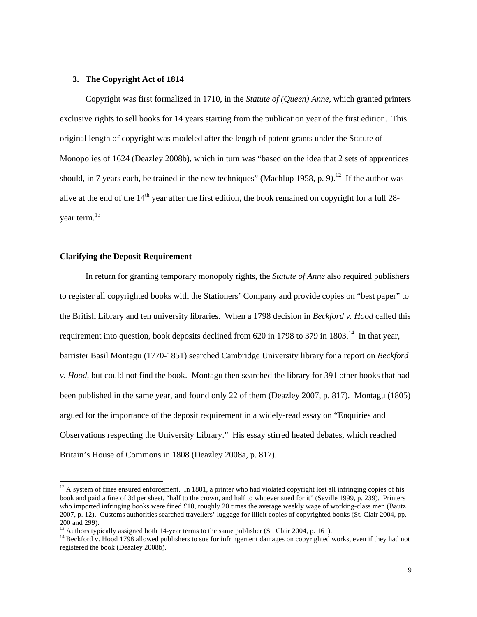## **3. The Copyright Act of 1814**

Copyright was first formalized in 1710, in the *Statute of (Queen) Anne,* which granted printers exclusive rights to sell books for 14 years starting from the publication year of the first edition. This original length of copyright was modeled after the length of patent grants under the Statute of Monopolies of 1624 (Deazley 2008b), which in turn was "based on the idea that 2 sets of apprentices should, in 7 years each, be trained in the new techniques" (Machlup 1958, p. 9).<sup>12</sup> If the author was alive at the end of the  $14<sup>th</sup>$  year after the first edition, the book remained on copyright for a full 28year term.13

# **Clarifying the Deposit Requirement**

l

In return for granting temporary monopoly rights, the *Statute of Anne* also required publishers to register all copyrighted books with the Stationers' Company and provide copies on "best paper" to the British Library and ten university libraries. When a 1798 decision in *Beckford v. Hood* called this requirement into question, book deposits declined from 620 in 1798 to 379 in 1803.<sup>14</sup> In that year, barrister Basil Montagu (1770-1851) searched Cambridge University library for a report on *Beckford v. Hood*, but could not find the book.Montagu then searched the library for 391 other books that had been published in the same year, and found only 22 of them (Deazley 2007, p. 817). Montagu (1805) argued for the importance of the deposit requirement in a widely-read essay on "Enquiries and Observations respecting the University Library." His essay stirred heated debates, which reached Britain's House of Commons in 1808 (Deazley 2008a, p. 817).

 $12$  A system of fines ensured enforcement. In 1801, a printer who had violated copyright lost all infringing copies of his book and paid a fine of 3d per sheet, "half to the crown, and half to whoever sued for it" (Seville 1999, p. 239). Printers who imported infringing books were fined £10, roughly 20 times the average weekly wage of working-class men (Bautz 2007, p. 12). Customs authorities searched travellers' luggage for illicit copies of copyrighted books (St. Clair 2004, pp. 200 and 299).<br> $13$  Authors typically assigned both 14-year terms to the same publisher (St. Clair 2004, p. 161).

<sup>&</sup>lt;sup>14</sup> Beckford v. Hood 1798 allowed publishers to sue for infringement damages on copyrighted works, even if they had not registered the book (Deazley 2008b).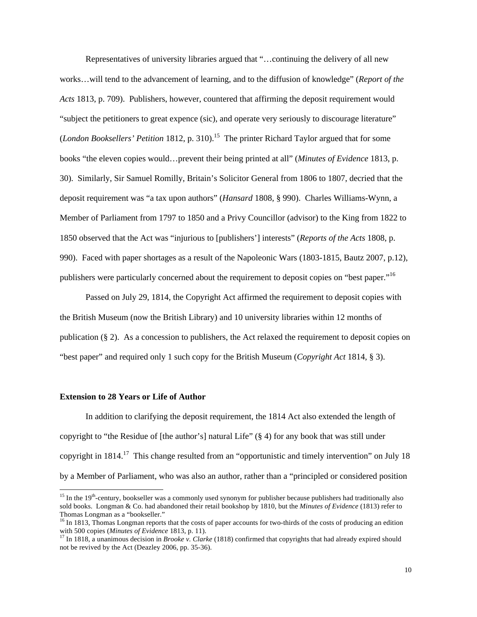Representatives of university libraries argued that "…continuing the delivery of all new works…will tend to the advancement of learning, and to the diffusion of knowledge" (*Report of the Acts* 1813, p. 709). Publishers, however, countered that affirming the deposit requirement would "subject the petitioners to great expence (sic), and operate very seriously to discourage literature" (*London Booksellers' Petition* 1812, p. 310).<sup>15</sup> The printer Richard Taylor argued that for some books "the eleven copies would…prevent their being printed at all" (*Minutes of Evidence* 1813, p. 30). Similarly, Sir Samuel Romilly, Britain's Solicitor General from 1806 to 1807, decried that the deposit requirement was "a tax upon authors" (*Hansard* 1808*,* § 990). Charles Williams-Wynn, a Member of Parliament from 1797 to 1850 and a Privy Councillor (advisor) to the King from 1822 to 1850 observed that the Act was "injurious to [publishers'] interests" (*Reports of the Acts* 1808, p. 990). Faced with paper shortages as a result of the Napoleonic Wars (1803-1815, Bautz 2007, p.12), publishers were particularly concerned about the requirement to deposit copies on "best paper."16

Passed on July 29, 1814, the Copyright Act affirmed the requirement to deposit copies with the British Museum (now the British Library) and 10 university libraries within 12 months of publication (§ 2). As a concession to publishers, the Act relaxed the requirement to deposit copies on "best paper" and required only 1 such copy for the British Museum (*Copyright Act* 1814, § 3).

### **Extension to 28 Years or Life of Author**

 $\overline{a}$ 

In addition to clarifying the deposit requirement, the 1814 Act also extended the length of copyright to "the Residue of [the author's] natural Life" (§ 4) for any book that was still under copyright in  $1814$ <sup>17</sup>. This change resulted from an "opportunistic and timely intervention" on July 18 by a Member of Parliament, who was also an author, rather than a "principled or considered position

<sup>&</sup>lt;sup>15</sup> In the 19<sup>th</sup>-century, bookseller was a commonly used synonym for publisher because publishers had traditionally also sold books. Longman & Co. had abandoned their retail bookshop by 1810, but the *Minutes of Evidence* (1813) refer to Thomas Longman as a "bookseller."

<sup>&</sup>lt;sup>16</sup> In 1813, Thomas Longman reports that the costs of paper accounts for two-thirds of the costs of producing an edition with 500 copies (*Minutes of Evidence* 1813, p. 11).<br><sup>17</sup> In 1818, a unanimous decision in *Brooke v. Clarke* (1818) confirmed that copyrights that had already expired should

not be revived by the Act (Deazley 2006, pp. 35-36).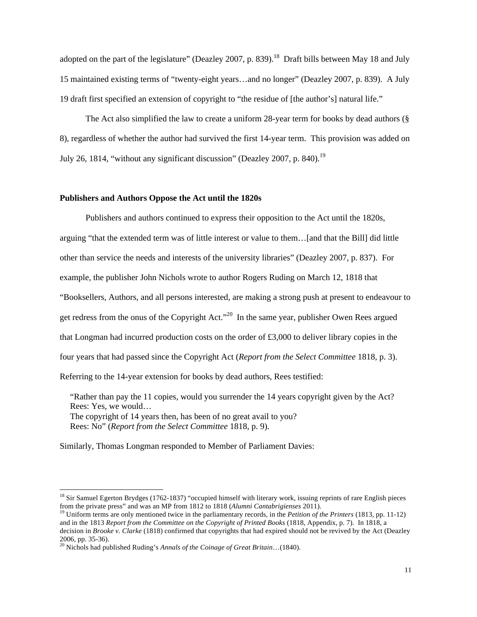adopted on the part of the legislature" (Deazley 2007, p. 839).<sup>18</sup> Draft bills between May 18 and July 15 maintained existing terms of "twenty-eight years…and no longer" (Deazley 2007, p. 839). A July 19 draft first specified an extension of copyright to "the residue of [the author's] natural life."

The Act also simplified the law to create a uniform 28-year term for books by dead authors (§ 8), regardless of whether the author had survived the first 14-year term. This provision was added on July 26, 1814, "without any significant discussion" (Deazley 2007, p. 840).<sup>19</sup>

## **Publishers and Authors Oppose the Act until the 1820s**

Publishers and authors continued to express their opposition to the Act until the 1820s,

arguing "that the extended term was of little interest or value to them…[and that the Bill] did little

other than service the needs and interests of the university libraries" (Deazley 2007, p. 837). For

example, the publisher John Nichols wrote to author Rogers Ruding on March 12, 1818 that

"Booksellers, Authors, and all persons interested, are making a strong push at present to endeavour to

get redress from the onus of the Copyright Act."20 In the same year, publisher Owen Rees argued

that Longman had incurred production costs on the order of £3,000 to deliver library copies in the

four years that had passed since the Copyright Act (*Report from the Select Committee* 1818, p. 3).

Referring to the 14-year extension for books by dead authors, Rees testified:

"Rather than pay the 11 copies, would you surrender the 14 years copyright given by the Act? Rees: Yes, we would… The copyright of 14 years then, has been of no great avail to you? Rees: No" (*Report from the Select Committee* 1818, p. 9).

Similarly, Thomas Longman responded to Member of Parliament Davies:

 $\overline{a}$ 

 $18$  Sir Samuel Egerton Brydges (1762-1837) "occupied himself with literary work, issuing reprints of rare English pieces from the private press" and was an MP from 1812 to 1818 (*Alumni Cantabrigienses* 2011). 19 Uniform terms are only mentioned twice in the parliamentary records, in the *Petition of the Printers* (1813, pp. 11-12)

and in the 1813 *Report from the Committee on the Copyright of Printed Books* (1818, Appendix, p. 7). In 1818, a decision in *Brooke v. Clarke* (1818) confirmed that copyrights that had expired should not be revived by the Act (Deazley

<sup>2006,</sup> pp. 35-36). <sup>20</sup> Nichols had published Ruding's *Annals of the Coinage of Great Britain*…(1840).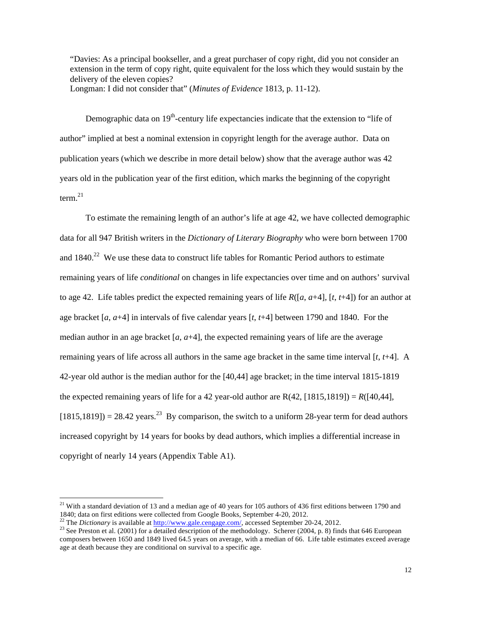"Davies: As a principal bookseller, and a great purchaser of copy right, did you not consider an extension in the term of copy right, quite equivalent for the loss which they would sustain by the delivery of the eleven copies?

Longman: I did not consider that" (*Minutes of Evidence* 1813, p. 11-12).

Demographic data on  $19<sup>th</sup>$ -century life expectancies indicate that the extension to "life of author" implied at best a nominal extension in copyright length for the average author. Data on publication years (which we describe in more detail below) show that the average author was 42 years old in the publication year of the first edition, which marks the beginning of the copyright term. $^{21}$ 

To estimate the remaining length of an author's life at age 42, we have collected demographic data for all 947 British writers in the *Dictionary of Literary Biography* who were born between 1700 and  $1840<sup>22</sup>$  We use these data to construct life tables for Romantic Period authors to estimate remaining years of life *conditional* on changes in life expectancies over time and on authors' survival to age 42. Life tables predict the expected remaining years of life  $R([a, a+4]$ ,  $[t, t+4]$ ) for an author at age bracket [*a*, *a*+4] in intervals of five calendar years [*t*, *t*+4] between 1790 and 1840. For the median author in an age bracket  $[a, a+4]$ , the expected remaining years of life are the average remaining years of life across all authors in the same age bracket in the same time interval [*t*, *t*+4]. A 42-year old author is the median author for the [40,44] age bracket; in the time interval 1815-1819 the expected remaining years of life for a 42 year-old author are  $R(42, [1815, 1819]) = R([40, 44],$  $[1815,1819]$  = 28.42 years.<sup>23</sup> By comparison, the switch to a uniform 28-year term for dead authors increased copyright by 14 years for books by dead authors, which implies a differential increase in copyright of nearly 14 years (Appendix Table A1).

 $\overline{\phantom{a}}$ 

<sup>&</sup>lt;sup>21</sup> With a standard deviation of 13 and a median age of 40 years for 105 authors of 436 first editions between 1790 and 1840; data on first editions were collected from Google Books, September 4-20, 2012.<br><sup>22</sup> The *Dictionary* is available at  $\frac{http://www.gale.cengage.com/}{}$ , accessed September 20-24, 2012.<br><sup>23</sup> See Preston et al. (2001) for a detailed de

composers between 1650 and 1849 lived 64.5 years on average, with a median of 66. Life table estimates exceed average age at death because they are conditional on survival to a specific age.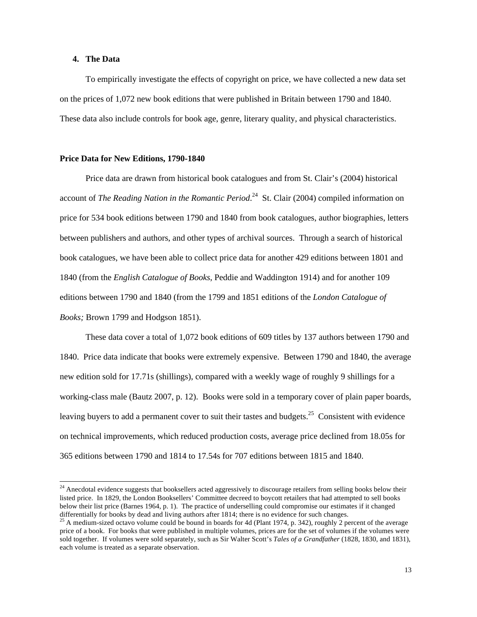## **4. The Data**

l

To empirically investigate the effects of copyright on price, we have collected a new data set on the prices of 1,072 new book editions that were published in Britain between 1790 and 1840. These data also include controls for book age, genre, literary quality, and physical characteristics.

### **Price Data for New Editions, 1790-1840**

Price data are drawn from historical book catalogues and from St. Clair's (2004) historical account of *The Reading Nation in the Romantic Period*. 24 St. Clair (2004) compiled information on price for 534 book editions between 1790 and 1840 from book catalogues, author biographies, letters between publishers and authors, and other types of archival sources. Through a search of historical book catalogues, we have been able to collect price data for another 429 editions between 1801 and 1840 (from the *English Catalogue of Books*, Peddie and Waddington 1914) and for another 109 editions between 1790 and 1840 (from the 1799 and 1851 editions of the *London Catalogue of Books;* Brown 1799 and Hodgson 1851).

These data cover a total of 1,072 book editions of 609 titles by 137 authors between 1790 and 1840. Price data indicate that books were extremely expensive. Between 1790 and 1840, the average new edition sold for 17.71s (shillings), compared with a weekly wage of roughly 9 shillings for a working-class male (Bautz 2007, p. 12). Books were sold in a temporary cover of plain paper boards, leaving buyers to add a permanent cover to suit their tastes and budgets.<sup>25</sup> Consistent with evidence on technical improvements, which reduced production costs, average price declined from 18.05s for 365 editions between 1790 and 1814 to 17.54s for 707 editions between 1815 and 1840.

 $24$  Anecdotal evidence suggests that booksellers acted aggressively to discourage retailers from selling books below their listed price. In 1829, the London Booksellers' Committee decreed to boycott retailers that had attempted to sell books below their list price (Barnes 1964, p. 1). The practice of underselling could compromise our estimates if it changed differentially for books by dead and living authors after 1814; there is no evidence for such changes.

 $^{25}$  A medium-sized octavo volume could be bound in boards for 4d (Plant 1974, p. 342), roughly 2 percent of the average price of a book. For books that were published in multiple volumes, prices are for the set of volumes if the volumes were sold together. If volumes were sold separately, such as Sir Walter Scott's *Tales of a Grandfather* (1828, 1830, and 1831), each volume is treated as a separate observation.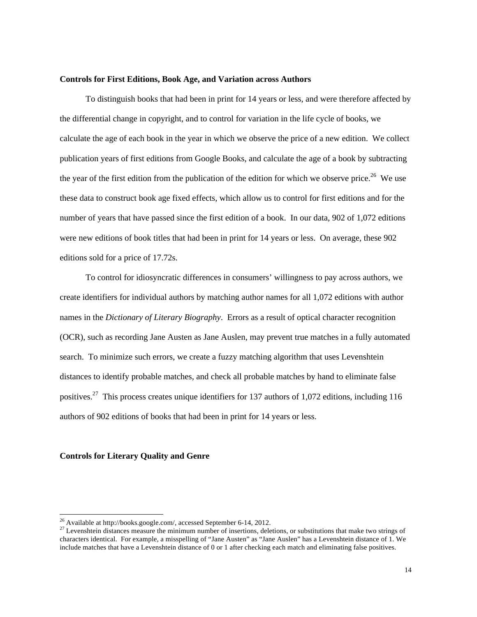## **Controls for First Editions, Book Age, and Variation across Authors**

To distinguish books that had been in print for 14 years or less, and were therefore affected by the differential change in copyright, and to control for variation in the life cycle of books, we calculate the age of each book in the year in which we observe the price of a new edition. We collect publication years of first editions from Google Books, and calculate the age of a book by subtracting the year of the first edition from the publication of the edition for which we observe price.<sup>26</sup> We use these data to construct book age fixed effects, which allow us to control for first editions and for the number of years that have passed since the first edition of a book. In our data, 902 of 1,072 editions were new editions of book titles that had been in print for 14 years or less. On average, these 902 editions sold for a price of 17.72s.

To control for idiosyncratic differences in consumers' willingness to pay across authors, we create identifiers for individual authors by matching author names for all 1,072 editions with author names in the *Dictionary of Literary Biography*. Errors as a result of optical character recognition (OCR), such as recording Jane Austen as Jane Auslen, may prevent true matches in a fully automated search. To minimize such errors, we create a fuzzy matching algorithm that uses Levenshtein distances to identify probable matches, and check all probable matches by hand to eliminate false positives.27 This process creates unique identifiers for 137 authors of 1,072 editions, including 116 authors of 902 editions of books that had been in print for 14 years or less.

### **Controls for Literary Quality and Genre**

 $26$  Available at http://books.google.com/, accessed September 6-14, 2012.

<sup>&</sup>lt;sup>27</sup> Levenshtein distances measure the minimum number of insertions, deletions, or substitutions that make two strings of characters identical. For example, a misspelling of "Jane Austen" as "Jane Auslen" has a Levenshtein distance of 1. We include matches that have a Levenshtein distance of 0 or 1 after checking each match and eliminating false positives.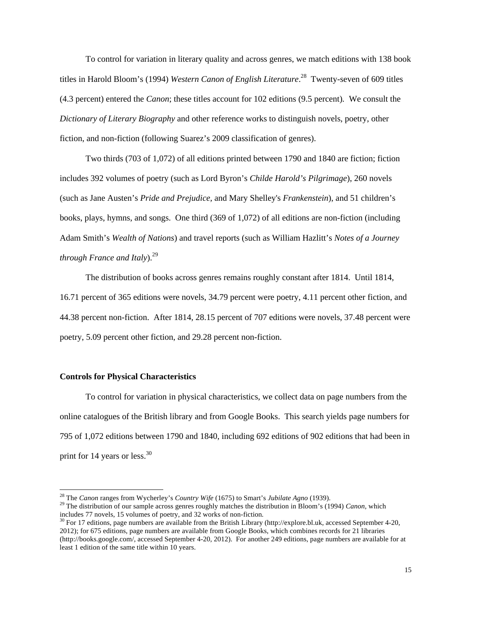To control for variation in literary quality and across genres, we match editions with 138 book titles in Harold Bloom's (1994) *Western Canon of English Literature*. 28 Twenty-seven of 609 titles (4.3 percent) entered the *Canon*; these titles account for 102 editions (9.5 percent)*.* We consult the *Dictionary of Literary Biography* and other reference works to distinguish novels, poetry, other fiction, and non-fiction (following Suarez's 2009 classification of genres).

Two thirds (703 of 1,072) of all editions printed between 1790 and 1840 are fiction; fiction includes 392 volumes of poetry (such as Lord Byron's *Childe Harold's Pilgrimage*), 260 novels (such as Jane Austen's *Pride and Prejudice,* and Mary Shelley's *Frankenstein*), and 51 children's books, plays, hymns, and songs. One third (369 of 1,072) of all editions are non-fiction (including Adam Smith's *Wealth of Nations*) and travel reports (such as William Hazlitt's *Notes of a Journey through France and Italy*).<sup>29</sup>

The distribution of books across genres remains roughly constant after 1814. Until 1814, 16.71 percent of 365 editions were novels, 34.79 percent were poetry, 4.11 percent other fiction, and 44.38 percent non-fiction. After 1814, 28.15 percent of 707 editions were novels, 37.48 percent were poetry, 5.09 percent other fiction, and 29.28 percent non-fiction.

## **Controls for Physical Characteristics**

 To control for variation in physical characteristics, we collect data on page numbers from the online catalogues of the British library and from Google Books. This search yields page numbers for 795 of 1,072 editions between 1790 and 1840, including 692 editions of 902 editions that had been in print for 14 years or less. $30$ 

2012); for 675 editions, page numbers are available from Google Books, which combines records for 21 libraries (http://books.google.com/, accessed September 4-20, 2012). For another 249 editions, page numbers are available for at least 1 edition of the same title within 10 years.

<sup>&</sup>lt;sup>28</sup> The *Canon* ranges from Wycherley's *Country Wife* (1675) to Smart's *Jubilate Agno* (1939).

<sup>&</sup>lt;sup>29</sup> The distribution of our sample across genres roughly matches the distribution in Bloom's (1994) Canon, which includes 77 novels, 15 volumes of poetry, and 32 works of non-fiction.<br><sup>30</sup> For 17 editions, page numbers are available from the British Library (http://explore.bl.uk, accessed September 4-20,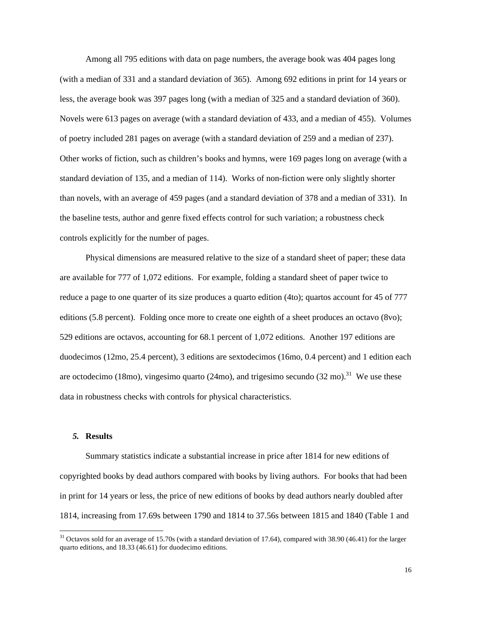Among all 795 editions with data on page numbers, the average book was 404 pages long (with a median of 331 and a standard deviation of 365). Among 692 editions in print for 14 years or less, the average book was 397 pages long (with a median of 325 and a standard deviation of 360). Novels were 613 pages on average (with a standard deviation of 433, and a median of 455). Volumes of poetry included 281 pages on average (with a standard deviation of 259 and a median of 237). Other works of fiction, such as children's books and hymns, were 169 pages long on average (with a standard deviation of 135, and a median of 114). Works of non-fiction were only slightly shorter than novels, with an average of 459 pages (and a standard deviation of 378 and a median of 331). In the baseline tests, author and genre fixed effects control for such variation; a robustness check controls explicitly for the number of pages.

Physical dimensions are measured relative to the size of a standard sheet of paper; these data are available for 777 of 1,072 editions. For example, folding a standard sheet of paper twice to reduce a page to one quarter of its size produces a quarto edition (4to); quartos account for 45 of 777 editions (5.8 percent). Folding once more to create one eighth of a sheet produces an octavo (8vo); 529 editions are octavos, accounting for 68.1 percent of 1,072 editions. Another 197 editions are duodecimos (12mo, 25.4 percent), 3 editions are sextodecimos (16mo, 0.4 percent) and 1 edition each are octodecimo (18mo), vingesimo quarto (24mo), and trigesimo secundo (32 mo).<sup>31</sup> We use these data in robustness checks with controls for physical characteristics.

# *5.* **Results**

 $\overline{a}$ 

Summary statistics indicate a substantial increase in price after 1814 for new editions of copyrighted books by dead authors compared with books by living authors. For books that had been in print for 14 years or less, the price of new editions of books by dead authors nearly doubled after 1814, increasing from 17.69s between 1790 and 1814 to 37.56s between 1815 and 1840 (Table 1 and

 $31$  Octavos sold for an average of 15.70s (with a standard deviation of 17.64), compared with 38.90 (46.41) for the larger quarto editions, and 18.33 (46.61) for duodecimo editions.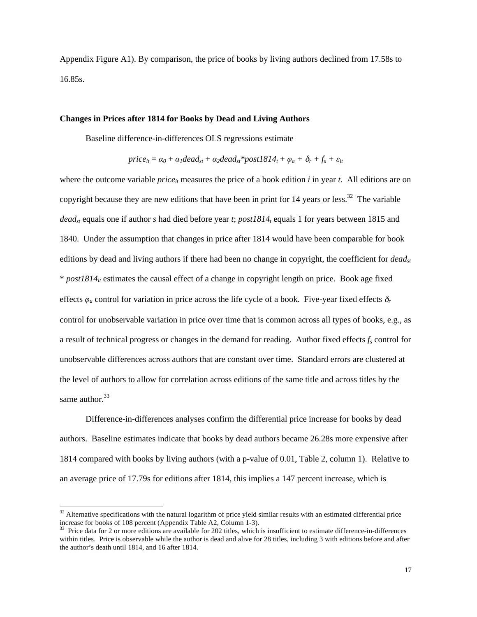Appendix Figure A1). By comparison, the price of books by living authors declined from 17.58s to 16.85s.

#### **Changes in Prices after 1814 for Books by Dead and Living Authors**

Baseline difference-in-differences OLS regressions estimate

$$
price_{it} = \alpha_0 + \alpha_1 dead_{st} + \alpha_2dead_{st}*post1814_t + \varphi_a + \delta_r + f_s + \varepsilon_{it}
$$

where the outcome variable  $price_{it}$  measures the price of a book edition  $i$  in year  $t$ . All editions are on copyright because they are new editions that have been in print for 14 years or less.<sup>32</sup> The variable *dead<sub>st</sub>* equals one if author *s* had died before year *t*; *post1814<sub>t</sub>* equals 1 for years between 1815 and 1840. Under the assumption that changes in price after 1814 would have been comparable for book editions by dead and living authors if there had been no change in copyright, the coefficient for *deadst*  $*$  *post1814<sub>it</sub>* estimates the causal effect of a change in copyright length on price. Book age fixed effects  $\varphi_a$  control for variation in price across the life cycle of a book. Five-year fixed effects  $\delta_r$ control for unobservable variation in price over time that is common across all types of books, e.g., as a result of technical progress or changes in the demand for reading. Author fixed effects  $f_s$  control for unobservable differences across authors that are constant over time. Standard errors are clustered at the level of authors to allow for correlation across editions of the same title and across titles by the same author.<sup>33</sup>

 Difference-in-differences analyses confirm the differential price increase for books by dead authors. Baseline estimates indicate that books by dead authors became 26.28s more expensive after 1814 compared with books by living authors (with a p-value of 0.01, Table 2, column 1). Relative to an average price of 17.79s for editions after 1814, this implies a 147 percent increase, which is

 $\overline{a}$ 

 $32$  Alternative specifications with the natural logarithm of price yield similar results with an estimated differential price increase for books of 108 percent (Appendix Table A2, Column 1-3).<br><sup>33</sup> Price data for 2 or more editions are available for 202 titles, which is insufficient to estimate difference-in-differences

within titles. Price is observable while the author is dead and alive for 28 titles, including 3 with editions before and after the author's death until 1814, and 16 after 1814.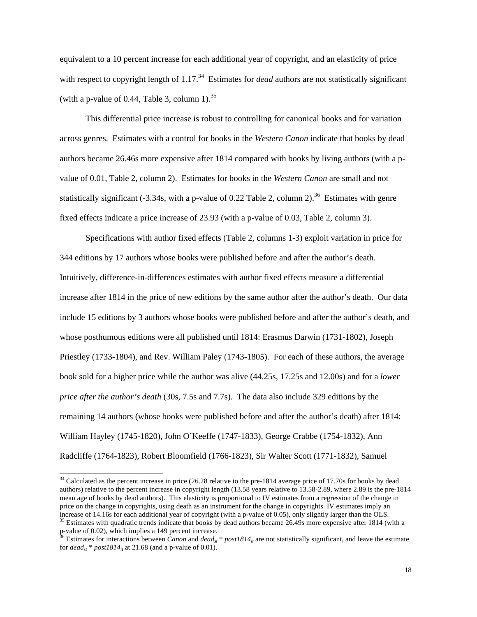equivalent to a 10 percent increase for each additional year of copyright, and an elasticity of price with respect to copyright length of 1.17<sup>34</sup> Estimates for *dead* authors are not statistically significant (with a p-value of 0.44, Table 3, column 1).<sup>35</sup>

This differential price increase is robust to controlling for canonical books and for variation across genres. Estimates with a control for books in the *Western Canon* indicate that books by dead authors became 26.46s more expensive after 1814 compared with books by living authors (with a pvalue of 0.01, Table 2, column 2). Estimates for books in the *Western Canon* are small and not statistically significant (-3.34s, with a p-value of 0.22 Table 2, column 2).<sup>36</sup> Estimates with genre fixed effects indicate a price increase of 23.93 (with a p-value of 0.03, Table 2, column 3).

Specifications with author fixed effects (Table 2, columns 1-3) exploit variation in price for 344 editions by 17 authors whose books were published before and after the author's death. Intuitively, difference-in-differences estimates with author fixed effects measure a differential increase after 1814 in the price of new editions by the same author after the author's death. Our data include 15 editions by 3 authors whose books were published before and after the author's death, and whose posthumous editions were all published until 1814: Erasmus Darwin (1731-1802), Joseph Priestley (1733-1804), and Rev. William Paley (1743-1805). For each of these authors, the average book sold for a higher price while the author was alive (44.25s, 17.25s and 12.00s) and for a *lower price after the author's death* (30s, 7.5s and 7.7s). The data also include 329 editions by the remaining 14 authors (whose books were published before and after the author's death) after 1814: William Hayley (1745-1820), John O'Keeffe (1747-1833), George Crabbe (1754-1832), Ann Radcliffe (1764-1823), Robert Bloomfield (1766-1823), Sir Walter Scott (1771-1832), Samuel

 $\overline{\phantom{a}}$ 

 $34$  Calculated as the percent increase in price (26.28 relative to the pre-1814 average price of 17.70s for books by dead authors) relative to the percent increase in copyright length (13.58 years relative to 13.58-2.89, where 2.89 is the pre-1814 mean age of books by dead authors). This elasticity is proportional to IV estimates from a regression of the change in price on the change in copyrights, using death as an instrument for the change in copyrights. IV estimates imply an increase of 14.16s for each additional year of copyright (with a p-value of 0.05), only slightly larger than the OLS.<br><sup>35</sup> Estimates with quadratic trends indicate that books by dead authors became 26.49s more expensive af

p-value of 0.02), which implies a 149 percent increase.<br><sup>36</sup> Estimates for interactions between *Canon* and *dead<sub>st</sub>* \* *post1814<sub>it</sub>* are not statistically significant, and leave the estimate

for  $dead_{st} * post1814_{it}$  at 21.68 (and a p-value of 0.01).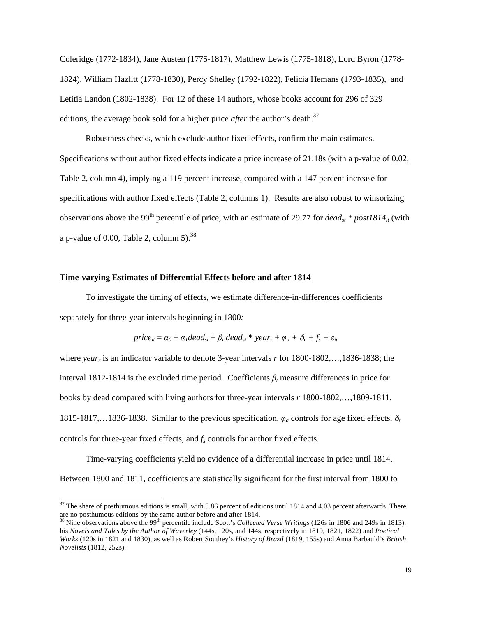Coleridge (1772-1834), Jane Austen (1775-1817), Matthew Lewis (1775-1818), Lord Byron (1778- 1824), William Hazlitt (1778-1830), Percy Shelley (1792-1822), Felicia Hemans (1793-1835), and Letitia Landon (1802-1838). For 12 of these 14 authors, whose books account for 296 of 329 editions, the average book sold for a higher price *after* the author's death.<sup>37</sup>

Robustness checks, which exclude author fixed effects, confirm the main estimates. Specifications without author fixed effects indicate a price increase of 21.18s (with a p-value of 0.02, Table 2, column 4), implying a 119 percent increase, compared with a 147 percent increase for specifications with author fixed effects (Table 2, columns 1). Results are also robust to winsorizing observations above the 99<sup>th</sup> percentile of price, with an estimate of 29.77 for  $dead_{st} * post1814_{it}$  (with a p-value of 0.00, Table 2, column  $5$ ).<sup>38</sup>

### **Time-varying Estimates of Differential Effects before and after 1814**

 $\overline{\phantom{a}}$ 

 To investigate the timing of effects, we estimate difference-in-differences coefficients separately for three-year intervals beginning in 1800*:* 

$$
price_{it} = \alpha_0 + \alpha_1 dead_{st} + \beta_r dead_{st} * year_r + \varphi_a + \delta_r + f_s + \varepsilon_{it}
$$

where *yearr* is an indicator variable to denote 3-year intervals *r* for 1800-1802,…,1836-1838; the interval 1812-1814 is the excluded time period. Coefficients *βr* measure differences in price for books by dead compared with living authors for three-year intervals *r* 1800-1802,…,1809-1811, 1815-1817,…1836-1838. Similar to the previous specification, *φ<sup>a</sup>* controls for age fixed effects, <sup>δ</sup>*<sup>r</sup>* controls for three-year fixed effects, and  $f_s$  controls for author fixed effects.

Time-varying coefficients yield no evidence of a differential increase in price until 1814. Between 1800 and 1811, coefficients are statistically significant for the first interval from 1800 to

 $37$  The share of posthumous editions is small, with 5.86 percent of editions until 1814 and 4.03 percent afterwards. There are no posthumous editions by the same author before and after 1814.<br><sup>38</sup> Nine observations above the 99<sup>th</sup> percentile include Scott's *Collected Verse Writings* (126s in 1806 and 249s in 1813),

his *Novels and Tales by the Author of Waverley* (144s, 120s, and 144s, respectively in 1819, 1821, 1822) and *Poetical Works* (120s in 1821 and 1830), as well as Robert Southey's *History of Brazil* (1819, 155s) and Anna Barbauld's *British Novelists* (1812, 252s).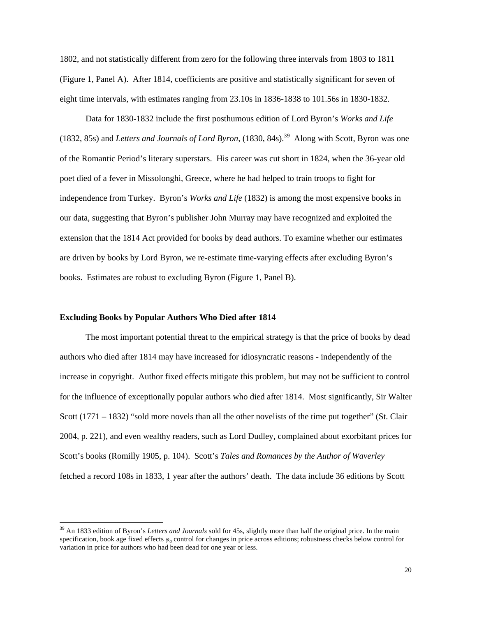1802, and not statistically different from zero for the following three intervals from 1803 to 1811 (Figure 1, Panel A). After 1814, coefficients are positive and statistically significant for seven of eight time intervals, with estimates ranging from 23.10s in 1836-1838 to 101.56s in 1830-1832.

Data for 1830-1832 include the first posthumous edition of Lord Byron's *Works and Life*  (1832, 85s) and *Letters and Journals of Lord Byron*, (1830, 84s).39 Along with Scott, Byron was one of the Romantic Period's literary superstars. His career was cut short in 1824, when the 36-year old poet died of a fever in Missolonghi, Greece, where he had helped to train troops to fight for independence from Turkey. Byron's *Works and Life* (1832) is among the most expensive books in our data, suggesting that Byron's publisher John Murray may have recognized and exploited the extension that the 1814 Act provided for books by dead authors. To examine whether our estimates are driven by books by Lord Byron, we re-estimate time-varying effects after excluding Byron's books. Estimates are robust to excluding Byron (Figure 1, Panel B).

## **Excluding Books by Popular Authors Who Died after 1814**

l

The most important potential threat to the empirical strategy is that the price of books by dead authors who died after 1814 may have increased for idiosyncratic reasons - independently of the increase in copyright. Author fixed effects mitigate this problem, but may not be sufficient to control for the influence of exceptionally popular authors who died after 1814. Most significantly, Sir Walter Scott (1771 – 1832) "sold more novels than all the other novelists of the time put together" (St. Clair 2004, p. 221), and even wealthy readers, such as Lord Dudley, complained about exorbitant prices for Scott's books (Romilly 1905, p. 104). Scott's *Tales and Romances by the Author of Waverley* fetched a record 108s in 1833, 1 year after the authors' death. The data include 36 editions by Scott

<sup>&</sup>lt;sup>39</sup> An 1833 edition of Byron's *Letters and Journals* sold for 45s, slightly more than half the original price. In the main specification, book age fixed effects  $\varphi_a$  control for changes in price across editions; robustness checks below control for variation in price for authors who had been dead for one year or less.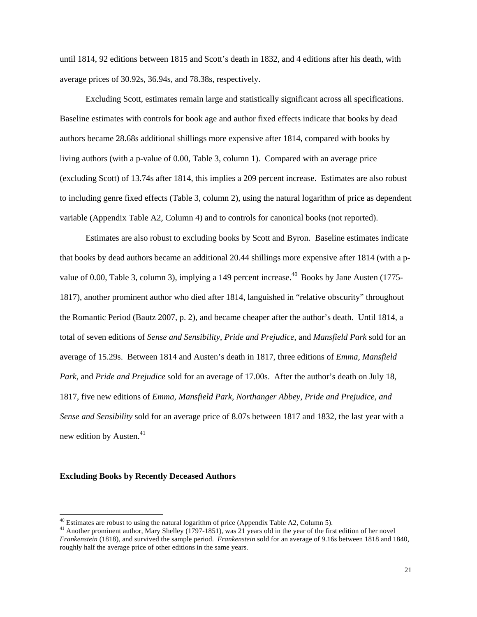until 1814, 92 editions between 1815 and Scott's death in 1832, and 4 editions after his death, with average prices of 30.92s, 36.94s, and 78.38s, respectively.

Excluding Scott, estimates remain large and statistically significant across all specifications. Baseline estimates with controls for book age and author fixed effects indicate that books by dead authors became 28.68s additional shillings more expensive after 1814, compared with books by living authors (with a p-value of 0.00, Table 3, column 1). Compared with an average price (excluding Scott) of 13.74s after 1814, this implies a 209 percent increase. Estimates are also robust to including genre fixed effects (Table 3, column 2), using the natural logarithm of price as dependent variable (Appendix Table A2, Column 4) and to controls for canonical books (not reported).

Estimates are also robust to excluding books by Scott and Byron. Baseline estimates indicate that books by dead authors became an additional 20.44 shillings more expensive after 1814 (with a pvalue of 0.00, Table 3, column 3), implying a 149 percent increase.<sup>40</sup> Books by Jane Austen (1775-1817), another prominent author who died after 1814, languished in "relative obscurity" throughout the Romantic Period (Bautz 2007, p. 2), and became cheaper after the author's death. Until 1814, a total of seven editions of *Sense and Sensibility*, *Pride and Prejudice*, and *Mansfield Park* sold for an average of 15.29s. Between 1814 and Austen's death in 1817, three editions of *Emma, Mansfield Park,* and *Pride and Prejudice* sold for an average of 17.00s. After the author's death on July 18, 1817, five new editions of *Emma, Mansfield Park, Northanger Abbey, Pride and Prejudice, and Sense and Sensibility* sold for an average price of 8.07s between 1817 and 1832, the last year with a new edition by Austen. $41$ 

## **Excluding Books by Recently Deceased Authors**

 $40$  Estimates are robust to using the natural logarithm of price (Appendix Table A2, Column 5).

<sup>&</sup>lt;sup>41</sup> Another prominent author, Mary Shelley ( $1797-1851$ ), was 21 years old in the year of the first edition of her novel *Frankenstein* (1818), and survived the sample period. *Frankenstein* sold for an average of 9.16s between 1818 and 1840, roughly half the average price of other editions in the same years.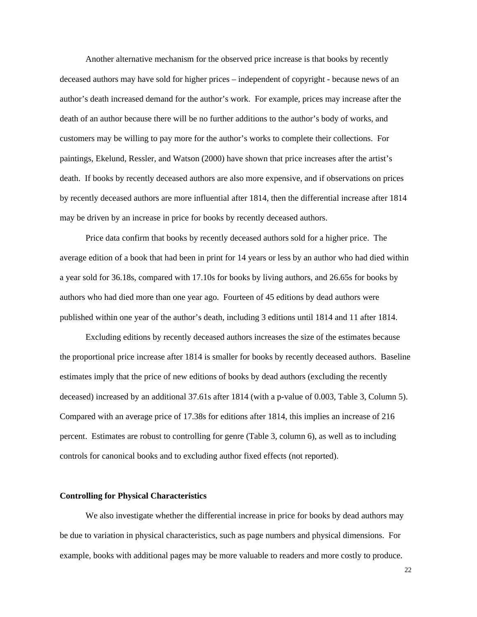Another alternative mechanism for the observed price increase is that books by recently deceased authors may have sold for higher prices – independent of copyright - because news of an author's death increased demand for the author's work. For example, prices may increase after the death of an author because there will be no further additions to the author's body of works, and customers may be willing to pay more for the author's works to complete their collections. For paintings, Ekelund, Ressler, and Watson (2000) have shown that price increases after the artist's death. If books by recently deceased authors are also more expensive, and if observations on prices by recently deceased authors are more influential after 1814, then the differential increase after 1814 may be driven by an increase in price for books by recently deceased authors.

Price data confirm that books by recently deceased authors sold for a higher price. The average edition of a book that had been in print for 14 years or less by an author who had died within a year sold for 36.18s, compared with 17.10s for books by living authors, and 26.65s for books by authors who had died more than one year ago. Fourteen of 45 editions by dead authors were published within one year of the author's death, including 3 editions until 1814 and 11 after 1814.

Excluding editions by recently deceased authors increases the size of the estimates because the proportional price increase after 1814 is smaller for books by recently deceased authors. Baseline estimates imply that the price of new editions of books by dead authors (excluding the recently deceased) increased by an additional 37.61s after 1814 (with a p-value of 0.003, Table 3, Column 5). Compared with an average price of 17.38s for editions after 1814, this implies an increase of 216 percent. Estimates are robust to controlling for genre (Table 3, column 6), as well as to including controls for canonical books and to excluding author fixed effects (not reported).

#### **Controlling for Physical Characteristics**

 We also investigate whether the differential increase in price for books by dead authors may be due to variation in physical characteristics, such as page numbers and physical dimensions. For example, books with additional pages may be more valuable to readers and more costly to produce.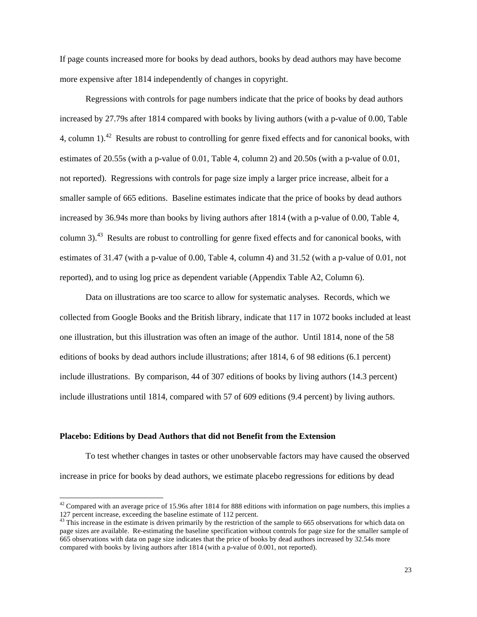If page counts increased more for books by dead authors, books by dead authors may have become more expensive after 1814 independently of changes in copyright.

Regressions with controls for page numbers indicate that the price of books by dead authors increased by 27.79s after 1814 compared with books by living authors (with a p-value of 0.00, Table 4, column 1).<sup>42</sup> Results are robust to controlling for genre fixed effects and for canonical books, with estimates of 20.55s (with a p-value of 0.01, Table 4, column 2) and 20.50s (with a p-value of 0.01, not reported). Regressions with controls for page size imply a larger price increase, albeit for a smaller sample of 665 editions. Baseline estimates indicate that the price of books by dead authors increased by 36.94s more than books by living authors after 1814 (with a p-value of 0.00, Table 4, column 3).<sup>43</sup> Results are robust to controlling for genre fixed effects and for canonical books, with estimates of 31.47 (with a p-value of 0.00, Table 4, column 4) and 31.52 (with a p-value of 0.01, not reported), and to using log price as dependent variable (Appendix Table A2, Column 6).

Data on illustrations are too scarce to allow for systematic analyses. Records, which we collected from Google Books and the British library, indicate that 117 in 1072 books included at least one illustration, but this illustration was often an image of the author. Until 1814, none of the 58 editions of books by dead authors include illustrations; after 1814, 6 of 98 editions (6.1 percent) include illustrations. By comparison, 44 of 307 editions of books by living authors (14.3 percent) include illustrations until 1814, compared with 57 of 609 editions (9.4 percent) by living authors.

## **Placebo: Editions by Dead Authors that did not Benefit from the Extension**

 $\overline{\phantom{a}}$ 

To test whether changes in tastes or other unobservable factors may have caused the observed increase in price for books by dead authors, we estimate placebo regressions for editions by dead

 $42$  Compared with an average price of 15.96s after 1814 for 888 editions with information on page numbers, this implies a 127 percent increase, exceeding the baseline estimate of 112 percent.

<sup>&</sup>lt;sup>43</sup> This increase in the estimate is driven primarily by the restriction of the sample to 665 observations for which data on page sizes are available. Re-estimating the baseline specification without controls for page size for the smaller sample of 665 observations with data on page size indicates that the price of books by dead authors increased by 32.54s more compared with books by living authors after 1814 (with a p-value of 0.001, not reported).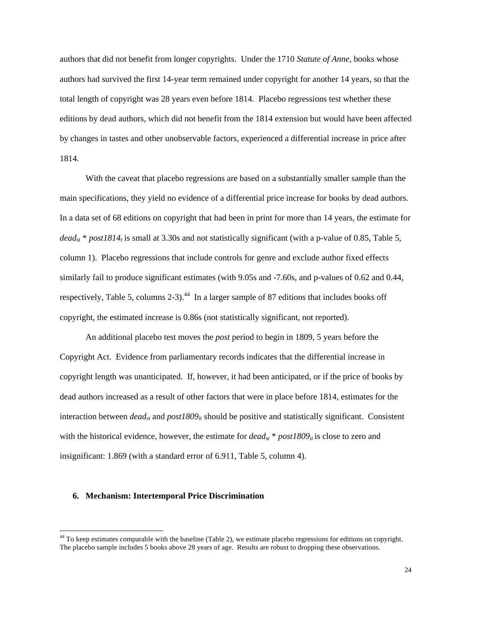authors that did not benefit from longer copyrights. Under the 1710 *Statute of Anne*, books whose authors had survived the first 14-year term remained under copyright for another 14 years, so that the total length of copyright was 28 years even before 1814. Placebo regressions test whether these editions by dead authors, which did not benefit from the 1814 extension but would have been affected by changes in tastes and other unobservable factors, experienced a differential increase in price after 1814.

With the caveat that placebo regressions are based on a substantially smaller sample than the main specifications, they yield no evidence of a differential price increase for books by dead authors. In a data set of 68 editions on copyright that had been in print for more than 14 years, the estimate for *deadst* \* *post1814t* is small at 3.30s and not statistically significant (with a p-value of 0.85, Table 5, column 1). Placebo regressions that include controls for genre and exclude author fixed effects similarly fail to produce significant estimates (with 9.05s and -7.60s, and p-values of 0.62 and 0.44, respectively, Table 5, columns 2-3).<sup>44</sup> In a larger sample of 87 editions that includes books off copyright, the estimated increase is 0.86s (not statistically significant, not reported).

An additional placebo test moves the *post* period to begin in 1809, 5 years before the Copyright Act. Evidence from parliamentary records indicates that the differential increase in copyright length was unanticipated. If, however, it had been anticipated, or if the price of books by dead authors increased as a result of other factors that were in place before 1814, estimates for the interaction between  $dead_{st}$  and  $post1809_{it}$  should be positive and statistically significant. Consistent with the historical evidence, however, the estimate for *dead<sub>st</sub>* \* *post1809<sub>it</sub>* is close to zero and insignificant: 1.869 (with a standard error of 6.911, Table 5, column 4).

### **6. Mechanism: Intertemporal Price Discrimination**

 $\overline{a}$ 

<sup>&</sup>lt;sup>44</sup> To keep estimates comparable with the baseline (Table 2), we estimate placebo regressions for editions on copyright. The placebo sample includes 5 books above 28 years of age. Results are robust to dropping these observations.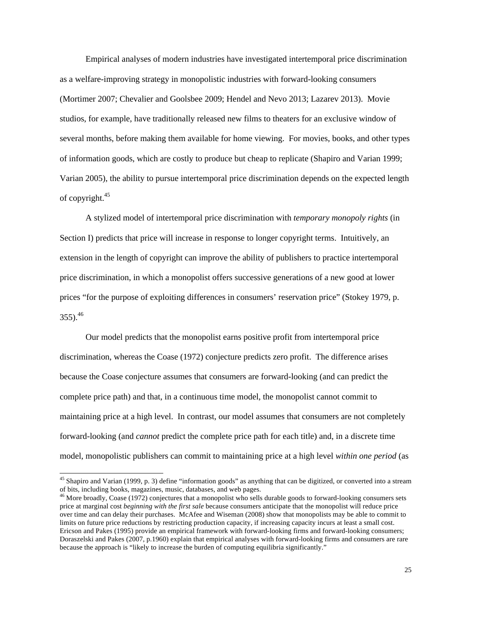Empirical analyses of modern industries have investigated intertemporal price discrimination as a welfare-improving strategy in monopolistic industries with forward-looking consumers (Mortimer 2007; Chevalier and Goolsbee 2009; Hendel and Nevo 2013; Lazarev 2013). Movie studios, for example, have traditionally released new films to theaters for an exclusive window of several months, before making them available for home viewing. For movies, books, and other types of information goods, which are costly to produce but cheap to replicate (Shapiro and Varian 1999; Varian 2005), the ability to pursue intertemporal price discrimination depends on the expected length of copyright.45

A stylized model of intertemporal price discrimination with *temporary monopoly rights* (in Section I) predicts that price will increase in response to longer copyright terms. Intuitively, an extension in the length of copyright can improve the ability of publishers to practice intertemporal price discrimination, in which a monopolist offers successive generations of a new good at lower prices "for the purpose of exploiting differences in consumers' reservation price" (Stokey 1979, p.  $355$ ).<sup>46</sup>

Our model predicts that the monopolist earns positive profit from intertemporal price discrimination, whereas the Coase (1972) conjecture predicts zero profit. The difference arises because the Coase conjecture assumes that consumers are forward-looking (and can predict the complete price path) and that, in a continuous time model, the monopolist cannot commit to maintaining price at a high level. In contrast, our model assumes that consumers are not completely forward-looking (and *cannot* predict the complete price path for each title) and, in a discrete time model, monopolistic publishers can commit to maintaining price at a high level *within one period* (as

 $\overline{\phantom{a}}$ 

 $45$  Shapiro and Varian (1999, p. 3) define "information goods" as anything that can be digitized, or converted into a stream of bits, including books, magazines, music, databases, and web pages.

<sup>&</sup>lt;sup>46</sup> More broadly, Coase (1972) conjectures that a monopolist who sells durable goods to forward-looking consumers sets price at marginal cost *beginning with the first sale* because consumers anticipate that the monopolist will reduce price over time and can delay their purchases. McAfee and Wiseman (2008) show that monopolists may be able to commit to limits on future price reductions by restricting production capacity, if increasing capacity incurs at least a small cost. Ericson and Pakes (1995) provide an empirical framework with forward-looking firms and forward-looking consumers; Doraszelski and Pakes (2007, p.1960) explain that empirical analyses with forward-looking firms and consumers are rare because the approach is "likely to increase the burden of computing equilibria significantly."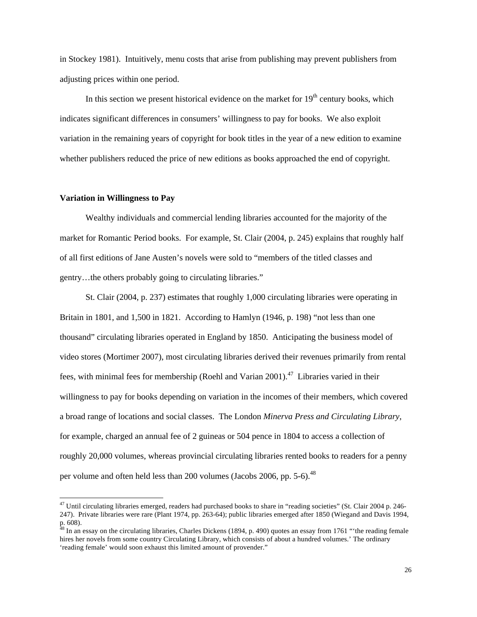in Stockey 1981). Intuitively, menu costs that arise from publishing may prevent publishers from adjusting prices within one period.

In this section we present historical evidence on the market for  $19<sup>th</sup>$  century books, which indicates significant differences in consumers' willingness to pay for books. We also exploit variation in the remaining years of copyright for book titles in the year of a new edition to examine whether publishers reduced the price of new editions as books approached the end of copyright.

### **Variation in Willingness to Pay**

 $\overline{\phantom{a}}$ 

Wealthy individuals and commercial lending libraries accounted for the majority of the market for Romantic Period books. For example, St. Clair (2004, p. 245) explains that roughly half of all first editions of Jane Austen's novels were sold to "members of the titled classes and gentry…the others probably going to circulating libraries."

St. Clair (2004, p. 237) estimates that roughly 1,000 circulating libraries were operating in Britain in 1801, and 1,500 in 1821. According to Hamlyn (1946, p. 198) "not less than one thousand" circulating libraries operated in England by 1850. Anticipating the business model of video stores (Mortimer 2007), most circulating libraries derived their revenues primarily from rental fees, with minimal fees for membership (Roehl and Varian 2001).<sup>47</sup> Libraries varied in their willingness to pay for books depending on variation in the incomes of their members, which covered a broad range of locations and social classes. The London *Minerva Press and Circulating Library*, for example, charged an annual fee of 2 guineas or 504 pence in 1804 to access a collection of roughly 20,000 volumes, whereas provincial circulating libraries rented books to readers for a penny per volume and often held less than 200 volumes (Jacobs 2006, pp. 5-6).<sup>48</sup>

 $^{47}$  Until circulating libraries emerged, readers had purchased books to share in "reading societies" (St. Clair 2004 p. 246-247). Private libraries were rare (Plant 1974, pp. 263-64); public libraries emerged after 1850 (Wiegand and Davis 1994, p. 608).

 $48$  In an essay on the circulating libraries, Charles Dickens (1894, p. 490) quotes an essay from 1761 "the reading female hires her novels from some country Circulating Library, which consists of about a hundred volumes.' The ordinary 'reading female' would soon exhaust this limited amount of provender."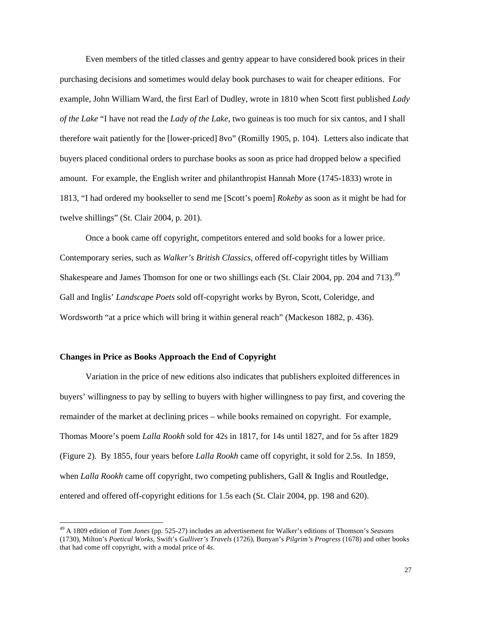Even members of the titled classes and gentry appear to have considered book prices in their purchasing decisions and sometimes would delay book purchases to wait for cheaper editions. For example, John William Ward, the first Earl of Dudley, wrote in 1810 when Scott first published *Lady of the Lake* "I have not read the *Lady of the Lake*, two guineas is too much for six cantos, and I shall therefore wait patiently for the [lower-priced] 8vo" (Romilly 1905, p. 104). Letters also indicate that buyers placed conditional orders to purchase books as soon as price had dropped below a specified amount. For example, the English writer and philanthropist Hannah More (1745-1833) wrote in 1813, "I had ordered my bookseller to send me [Scott's poem] *Rokeby* as soon as it might be had for twelve shillings" (St. Clair 2004, p. 201).

Once a book came off copyright, competitors entered and sold books for a lower price. Contemporary series, such as *Walker's British Classics,* offered off-copyright titles by William Shakespeare and James Thomson for one or two shillings each (St. Clair 2004, pp. 204 and 713).<sup>49</sup> Gall and Inglis' *Landscape Poets* sold off-copyright works by Byron, Scott, Coleridge, and Wordsworth "at a price which will bring it within general reach" (Mackeson 1882, p. 436).

## **Changes in Price as Books Approach the End of Copyright**

l

Variation in the price of new editions also indicates that publishers exploited differences in buyers' willingness to pay by selling to buyers with higher willingness to pay first, and covering the remainder of the market at declining prices – while books remained on copyright. For example, Thomas Moore's poem *Lalla Rookh* sold for 42s in 1817, for 14s until 1827, and for 5s after 1829 (Figure 2). By 1855, four years before *Lalla Rookh* came off copyright, it sold for 2.5s. In 1859, when *Lalla Rookh* came off copyright, two competing publishers, Gall & Inglis and Routledge, entered and offered off-copyright editions for 1.5s each (St. Clair 2004, pp. 198 and 620).

<sup>49</sup> A 1809 edition of *Tom Jones* (pp. 525-27) includes an advertisement for Walker's editions of Thomson's *Seasons*  (1730), Milton's *Poetical Works,* Swift's *Gulliver's Travels* (1726), Bunyan's *Pilgrim's Progress* (1678) and other books that had come off copyright, with a modal price of 4*s*.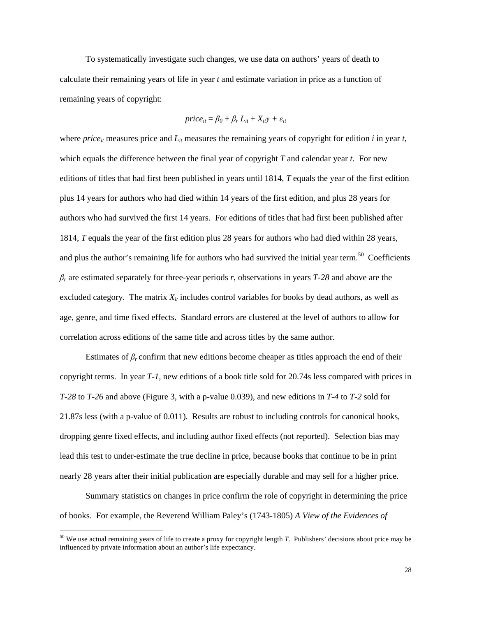To systematically investigate such changes, we use data on authors' years of death to calculate their remaining years of life in year *t* and estimate variation in price as a function of remaining years of copyright:

$$
price_{it} = \beta_0 + \beta_r L_{it} + X_{it}\gamma + \varepsilon_{it}
$$

where *price*<sub>it</sub> measures price and  $L<sub>it</sub>$  measures the remaining years of copyright for edition *i* in year *t*, which equals the difference between the final year of copyright *T* and calendar year *t*. For new editions of titles that had first been published in years until 1814, *T* equals the year of the first edition plus 14 years for authors who had died within 14 years of the first edition, and plus 28 years for authors who had survived the first 14 years. For editions of titles that had first been published after 1814, *T* equals the year of the first edition plus 28 years for authors who had died within 28 years, and plus the author's remaining life for authors who had survived the initial year term.<sup>50</sup> Coefficients *βr* are estimated separately for three-year periods *r*, observations in years *T-28* and above are the excluded category. The matrix  $X_{it}$  includes control variables for books by dead authors, as well as age, genre, and time fixed effects. Standard errors are clustered at the level of authors to allow for correlation across editions of the same title and across titles by the same author.

Estimates of *βr* confirm that new editions become cheaper as titles approach the end of their copyright terms. In year *T-1,* new editions of a book title sold for 20.74s less compared with prices in *T-28* to *T-26* and above (Figure 3, with a p-value 0.039), and new editions in *T-4* to *T-2* sold for 21.87s less (with a p-value of 0.011). Results are robust to including controls for canonical books, dropping genre fixed effects, and including author fixed effects (not reported). Selection bias may lead this test to under-estimate the true decline in price, because books that continue to be in print nearly 28 years after their initial publication are especially durable and may sell for a higher price.

Summary statistics on changes in price confirm the role of copyright in determining the price of books. For example, the Reverend William Paley's (1743-1805) *A View of the Evidences of* 

 $\overline{a}$ 

<sup>50</sup> We use actual remaining years of life to create a proxy for copyright length *T*. Publishers' decisions about price may be influenced by private information about an author's life expectancy.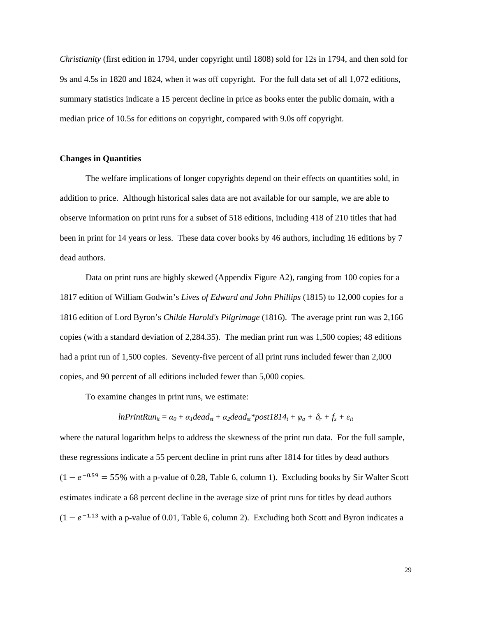*Christianity* (first edition in 1794, under copyright until 1808) sold for 12s in 1794, and then sold for 9s and 4.5s in 1820 and 1824, when it was off copyright. For the full data set of all 1,072 editions, summary statistics indicate a 15 percent decline in price as books enter the public domain, with a median price of 10.5s for editions on copyright, compared with 9.0s off copyright.

## **Changes in Quantities**

The welfare implications of longer copyrights depend on their effects on quantities sold, in addition to price. Although historical sales data are not available for our sample, we are able to observe information on print runs for a subset of 518 editions, including 418 of 210 titles that had been in print for 14 years or less. These data cover books by 46 authors, including 16 editions by 7 dead authors.

Data on print runs are highly skewed (Appendix Figure A2), ranging from 100 copies for a 1817 edition of William Godwin's *Lives of Edward and John Phillips* (1815) to 12,000 copies for a 1816 edition of Lord Byron's *Childe Harold's Pilgrimage* (1816). The average print run was 2,166 copies (with a standard deviation of 2,284.35). The median print run was 1,500 copies; 48 editions had a print run of 1,500 copies. Seventy-five percent of all print runs included fewer than 2,000 copies, and 90 percent of all editions included fewer than 5,000 copies.

To examine changes in print runs, we estimate:

$$
InPrintRun_{it} = \alpha_0 + \alpha_1 dead_{st} + \alpha_2dead_{st} * post1814_t + \varphi_a + \delta_r + f_s + \varepsilon_{it}
$$

where the natural logarithm helps to address the skewness of the print run data. For the full sample, these regressions indicate a 55 percent decline in print runs after 1814 for titles by dead authors  $(1 - e^{-0.59} = 55\%$  with a p-value of 0.28, Table 6, column 1). Excluding books by Sir Walter Scott estimates indicate a 68 percent decline in the average size of print runs for titles by dead authors  $(1 - e^{-1.13}$  with a p-value of 0.01, Table 6, column 2). Excluding both Scott and Byron indicates a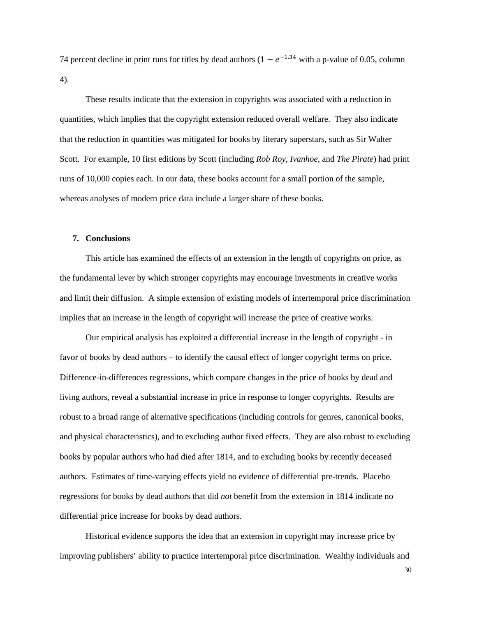74 percent decline in print runs for titles by dead authors  $(1 - e^{-1.34})$  with a p-value of 0.05, column 4).

These results indicate that the extension in copyrights was associated with a reduction in quantities, which implies that the copyright extension reduced overall welfare. They also indicate that the reduction in quantities was mitigated for books by literary superstars, such as Sir Walter Scott. For example, 10 first editions by Scott (including *Rob Roy*, *Ivanhoe*, and *The Pirate*) had print runs of 10,000 copies each*.* In our data, these books account for a small portion of the sample, whereas analyses of modern price data include a larger share of these books.

### **7. Conclusions**

This article has examined the effects of an extension in the length of copyrights on price, as the fundamental lever by which stronger copyrights may encourage investments in creative works and limit their diffusion. A simple extension of existing models of intertemporal price discrimination implies that an increase in the length of copyright will increase the price of creative works.

Our empirical analysis has exploited a differential increase in the length of copyright - in favor of books by dead authors – to identify the causal effect of longer copyright terms on price. Difference-in-differences regressions, which compare changes in the price of books by dead and living authors, reveal a substantial increase in price in response to longer copyrights. Results are robust to a broad range of alternative specifications (including controls for genres, canonical books, and physical characteristics), and to excluding author fixed effects. They are also robust to excluding books by popular authors who had died after 1814, and to excluding books by recently deceased authors. Estimates of time-varying effects yield no evidence of differential pre-trends. Placebo regressions for books by dead authors that did *not* benefit from the extension in 1814 indicate no differential price increase for books by dead authors.

Historical evidence supports the idea that an extension in copyright may increase price by improving publishers' ability to practice intertemporal price discrimination. Wealthy individuals and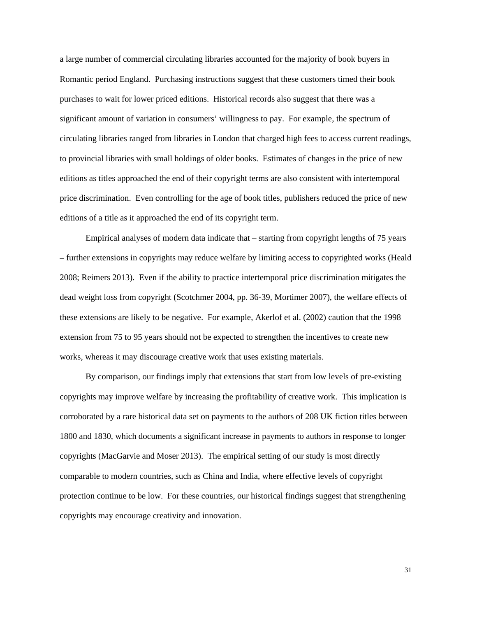a large number of commercial circulating libraries accounted for the majority of book buyers in Romantic period England. Purchasing instructions suggest that these customers timed their book purchases to wait for lower priced editions. Historical records also suggest that there was a significant amount of variation in consumers' willingness to pay. For example, the spectrum of circulating libraries ranged from libraries in London that charged high fees to access current readings, to provincial libraries with small holdings of older books. Estimates of changes in the price of new editions as titles approached the end of their copyright terms are also consistent with intertemporal price discrimination. Even controlling for the age of book titles, publishers reduced the price of new editions of a title as it approached the end of its copyright term.

Empirical analyses of modern data indicate that – starting from copyright lengths of 75 years – further extensions in copyrights may reduce welfare by limiting access to copyrighted works (Heald 2008; Reimers 2013). Even if the ability to practice intertemporal price discrimination mitigates the dead weight loss from copyright (Scotchmer 2004, pp. 36-39, Mortimer 2007), the welfare effects of these extensions are likely to be negative. For example, Akerlof et al. (2002) caution that the 1998 extension from 75 to 95 years should not be expected to strengthen the incentives to create new works, whereas it may discourage creative work that uses existing materials.

By comparison, our findings imply that extensions that start from low levels of pre-existing copyrights may improve welfare by increasing the profitability of creative work. This implication is corroborated by a rare historical data set on payments to the authors of 208 UK fiction titles between 1800 and 1830, which documents a significant increase in payments to authors in response to longer copyrights (MacGarvie and Moser 2013). The empirical setting of our study is most directly comparable to modern countries, such as China and India, where effective levels of copyright protection continue to be low. For these countries, our historical findings suggest that strengthening copyrights may encourage creativity and innovation.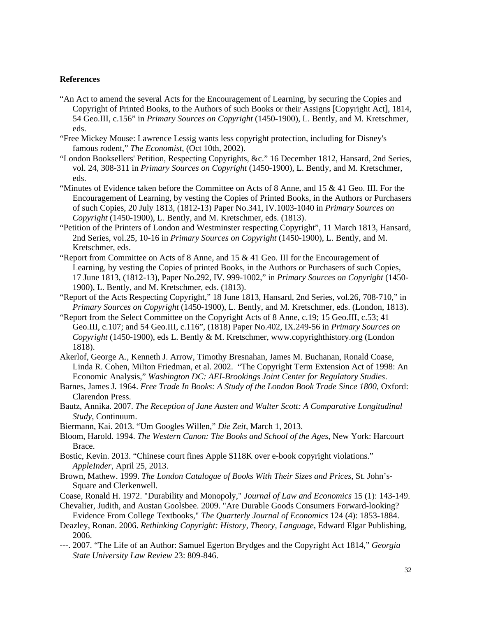## **References**

- "An Act to amend the several Acts for the Encouragement of Learning, by securing the Copies and Copyright of Printed Books, to the Authors of such Books or their Assigns [Copyright Act], 1814, 54 Geo.III, c.156" in *Primary Sources on Copyright* (1450-1900), L. Bently, and M. Kretschmer, eds.
- "Free Mickey Mouse: Lawrence Lessig wants less copyright protection, including for Disney's famous rodent," *The Economist*, (Oct 10th, 2002).
- "London Booksellers' Petition, Respecting Copyrights, &c." 16 December 1812, Hansard, 2nd Series, vol. 24, 308-311 in *Primary Sources on Copyright* (1450-1900), L. Bently, and M. Kretschmer, eds.
- "Minutes of Evidence taken before the Committee on Acts of 8 Anne, and 15 & 41 Geo. III. For the Encouragement of Learning, by vesting the Copies of Printed Books, in the Authors or Purchasers of such Copies, 20 July 1813, (1812-13) Paper No.341, IV.1003-1040 in *Primary Sources on Copyright* (1450-1900), L. Bently, and M. Kretschmer, eds. (1813).
- "Petition of the Printers of London and Westminster respecting Copyright", 11 March 1813, Hansard, 2nd Series, vol.25, 10-16 in *Primary Sources on Copyright* (1450-1900), L. Bently, and M. Kretschmer, eds.
- "Report from Committee on Acts of 8 Anne, and  $15 \& 41$  Geo. III for the Encouragement of Learning, by vesting the Copies of printed Books, in the Authors or Purchasers of such Copies, 17 June 1813, (1812-13), Paper No.292, IV. 999-1002," in *Primary Sources on Copyright* (1450- 1900), L. Bently, and M. Kretschmer, eds. (1813).
- "Report of the Acts Respecting Copyright," 18 June 1813, Hansard, 2nd Series, vol.26, 708-710," in *Primary Sources on Copyright* (1450-1900), L. Bently, and M. Kretschmer, eds. (London, 1813).
- "Report from the Select Committee on the Copyright Acts of 8 Anne, c.19; 15 Geo.III, c.53; 41 Geo.III, c.107; and 54 Geo.III, c.116", (1818) Paper No.402, IX.249-56 in *Primary Sources on Copyright* (1450-1900), eds L. Bently & M. Kretschmer, www.copyrighthistory.org (London 1818).
- Akerlof, George A., Kenneth J. Arrow, Timothy Bresnahan, James M. Buchanan, Ronald Coase, Linda R. Cohen, Milton Friedman, et al. 2002. "The Copyright Term Extension Act of 1998: An Economic Analysis," *Washington DC: AEI-Brookings Joint Center for Regulatory Studies*.
- Barnes, James J. 1964. *Free Trade In Books: A Study of the London Book Trade Since 1800*, Oxford: Clarendon Press.
- Bautz, Annika. 2007. *The Reception of Jane Austen and Walter Scott: A Comparative Longitudinal Study*, Continuum.
- Biermann, Kai. 2013. "Um Googles Willen," *Die Zeit*, March 1, 2013.
- Bloom, Harold. 1994. *The Western Canon: The Books and School of the Ages*, New York: Harcourt Brace.
- Bostic, Kevin. 2013. "Chinese court fines Apple \$118K over e-book copyright violations." *AppleInder*, April 25, 2013.
- Brown, Mathew. 1999. *The London Catalogue of Books With Their Sizes and Prices*, St. John's-Square and Clerkenwell.
- Coase, Ronald H. 1972. "Durability and Monopoly," *Journal of Law and Economics* 15 (1): 143-149.
- Chevalier, Judith, and Austan Goolsbee. 2009. "Are Durable Goods Consumers Forward-looking? Evidence From College Textbooks," *The Quarterly Journal of Economics* 124 (4): 1853-1884.
- Deazley, Ronan. 2006. *Rethinking Copyright: History, Theory, Language*, Edward Elgar Publishing, 2006.
- ---. 2007. "The Life of an Author: Samuel Egerton Brydges and the Copyright Act 1814," *Georgia State University Law Review* 23: 809-846.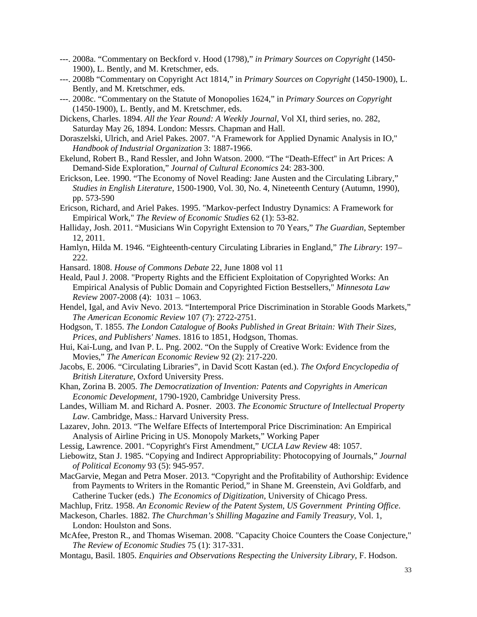- ---. 2008a. "Commentary on Beckford v. Hood (1798)," *in Primary Sources on Copyright* (1450- 1900), L. Bently, and M. Kretschmer, eds.
- ---. 2008b "Commentary on Copyright Act 1814," in *Primary Sources on Copyright* (1450-1900), L. Bently, and M. Kretschmer, eds.
- ---. 2008c. "Commentary on the Statute of Monopolies 1624," in *Primary Sources on Copyright* (1450-1900), L. Bently, and M. Kretschmer, eds.

Dickens, Charles. 1894. *All the Year Round: A Weekly Journal*, Vol XI, third series, no. 282, Saturday May 26, 1894. London: Messrs. Chapman and Hall.

- Doraszelski, Ulrich, and Ariel Pakes. 2007. "A Framework for Applied Dynamic Analysis in IO," *Handbook of Industrial Organization* 3: 1887-1966.
- Ekelund, Robert B., Rand Ressler, and John Watson. 2000. "The "Death-Effect'' in Art Prices: A Demand-Side Exploration," *Journal of Cultural Economics* 24: 283-300.
- Erickson, Lee. 1990. "The Economy of Novel Reading: Jane Austen and the Circulating Library," *Studies in English Literature*, 1500-1900, Vol. 30, No. 4, Nineteenth Century (Autumn, 1990), pp. 573-590
- Ericson, Richard, and Ariel Pakes. 1995. "Markov-perfect Industry Dynamics: A Framework for Empirical Work," *The Review of Economic Studies* 62 (1): 53-82.
- Halliday, Josh. 2011. "Musicians Win Copyright Extension to 70 Years," *The Guardian*, September 12, 2011.
- Hamlyn, Hilda M. 1946. "Eighteenth-century Circulating Libraries in England," *The Library*: 197– 222.
- Hansard. 1808. *House of Commons Debate* 22, June 1808 vol 11
- Heald, Paul J. 2008. "Property Rights and the Efficient Exploitation of Copyrighted Works: An Empirical Analysis of Public Domain and Copyrighted Fiction Bestsellers," *Minnesota Law Review* 2007-2008 (4): 1031 – 1063.
- Hendel, Igal, and Aviv Nevo. 2013. "Intertemporal Price Discrimination in Storable Goods Markets," *The American Economic Review* 107 (7): 2722-2751.
- Hodgson, T. 1855. *The London Catalogue of Books Published in Great Britain: With Their Sizes, Prices, and Publishers' Names*. 1816 to 1851, Hodgson, Thomas.
- Hui, Kai-Lung, and Ivan P. L. Png. 2002. "On the Supply of Creative Work: Evidence from the Movies," *The American Economic Review* 92 (2): 217-220.
- Jacobs, E. 2006. "Circulating Libraries", in David Scott Kastan (ed.). *The Oxford Encyclopedia of British Literature*, Oxford University Press.
- Khan, Zorina B. 2005. *The Democratization of Invention: Patents and Copyrights in American Economic Development*, 1790-1920, Cambridge University Press.
- Landes, William M. and Richard A. Posner. 2003. *The Economic Structure of Intellectual Property Law*. Cambridge, Mass.: Harvard University Press.
- Lazarev, John. 2013. "The Welfare Effects of Intertemporal Price Discrimination: An Empirical Analysis of Airline Pricing in US. Monopoly Markets," Working Paper
- Lessig, Lawrence. 2001. "Copyright's First Amendment," *UCLA Law Review* 48: 1057.
- Liebowitz, Stan J. 1985. "Copying and Indirect Appropriability: Photocopying of Journals," *Journal of Political Economy* 93 (5): 945-957.
- MacGarvie, Megan and Petra Moser. 2013. "Copyright and the Profitability of Authorship: Evidence from Payments to Writers in the Romantic Period," in Shane M. Greenstein, Avi Goldfarb, and Catherine Tucker (eds.) *The Economics of Digitization*, University of Chicago Press.
- Machlup, Fritz. 1958. *An Economic Review of the Patent System, US Government Printing Office*.
- Mackeson, Charles. 1882. *The Churchman's Shilling Magazine and Family Treasury*, Vol. 1, London: Houlston and Sons.
- McAfee, Preston R., and Thomas Wiseman. 2008. "Capacity Choice Counters the Coase Conjecture," *The Review of Economic Studies* 75 (1): 317-331.
- Montagu, Basil. 1805. *Enquiries and Observations Respecting the University Library*, F. Hodson.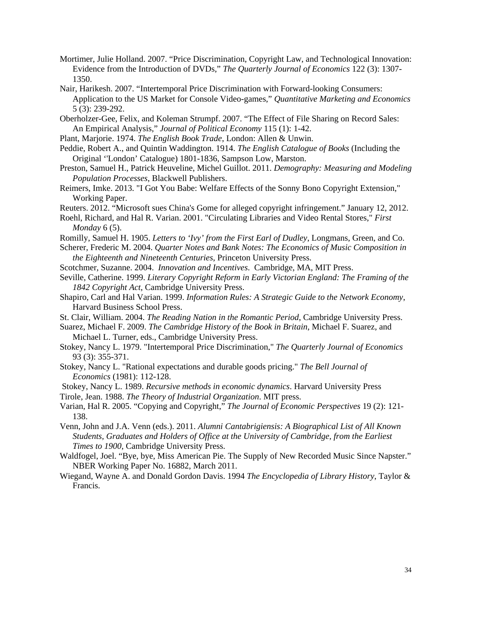- Mortimer, Julie Holland. 2007. "Price Discrimination, Copyright Law, and Technological Innovation: Evidence from the Introduction of DVDs," *The Quarterly Journal of Economics* 122 (3): 1307- 1350.
- Nair, Harikesh. 2007. "Intertemporal Price Discrimination with Forward-looking Consumers: Application to the US Market for Console Video-games," *Quantitative Marketing and Economics* 5 (3): 239-292.
- Oberholzer-Gee, Felix, and Koleman Strumpf. 2007. "The Effect of File Sharing on Record Sales: An Empirical Analysis," *Journal of Political Economy* 115 (1): 1-42.
- Plant, Marjorie. 1974. *The English Book Trade*, London: Allen & Unwin.
- Peddie, Robert A., and Quintin Waddington. 1914. *The English Catalogue of Books* (Including the Original ''London' Catalogue) 1801-1836, Sampson Low, Marston.
- Preston, Samuel H., Patrick Heuveline, Michel Guillot. 2011. *Demography: Measuring and Modeling Population Processes*, Blackwell Publishers.
- Reimers, Imke. 2013. "I Got You Babe: Welfare Effects of the Sonny Bono Copyright Extension," Working Paper.
- Reuters. 2012. "Microsoft sues China's Gome for alleged copyright infringement." January 12, 2012.
- Roehl, Richard, and Hal R. Varian. 2001. "Circulating Libraries and Video Rental Stores," *First Monday* 6 (5).
- Romilly, Samuel H. 1905. *Letters to 'Ivy' from the First Earl of Dudley*, Longmans, Green, and Co.
- Scherer, Frederic M. 2004. *Quarter Notes and Bank Notes: The Economics of Music Composition in the Eighteenth and Nineteenth Centuries*, Princeton University Press.
- Scotchmer, Suzanne. 2004. *Innovation and Incentives*. Cambridge, MA, MIT Press.
- Seville, Catherine. 1999. *Literary Copyright Reform in Early Victorian England: The Framing of the 1842 Copyright Act*, Cambridge University Press.
- Shapiro, Carl and Hal Varian. 1999. *Information Rules: A Strategic Guide to the Network Economy*, Harvard Business School Press.
- St. Clair, William. 2004. *The Reading Nation in the Romantic Period*, Cambridge University Press.
- Suarez, Michael F. 2009. *The Cambridge History of the Book in Britain*, Michael F. Suarez, and Michael L. Turner, eds., Cambridge University Press.
- Stokey, Nancy L. 1979. "Intertemporal Price Discrimination," *The Quarterly Journal of Economics* 93 (3): 355-371.
- Stokey, Nancy L. "Rational expectations and durable goods pricing." *The Bell Journal of Economics* (1981): 112-128.
- Stokey, Nancy L. 1989. *Recursive methods in economic dynamics*. Harvard University Press Tirole, Jean. 1988. *The Theory of Industrial Organization*. MIT press.
- Varian, Hal R. 2005. "Copying and Copyright," *The Journal of Economic Perspectives* 19 (2): 121- 138.
- Venn, John and J.A. Venn (eds.). 2011. *Alumni Cantabrigiensis: A Biographical List of All Known Students, Graduates and Holders of Office at the University of Cambridge, from the Earliest Times to 1900*, Cambridge University Press.
- Waldfogel, Joel. "Bye, bye, Miss American Pie. The Supply of New Recorded Music Since Napster." NBER Working Paper No. 16882, March 2011.
- Wiegand, Wayne A. and Donald Gordon Davis. 1994 *The Encyclopedia of Library History*, Taylor & Francis.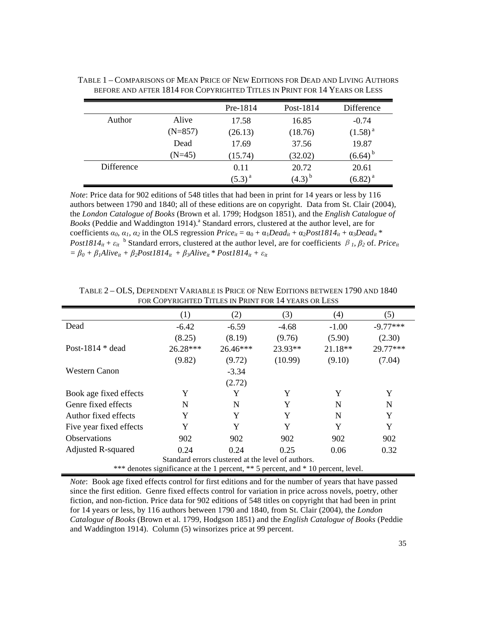|            |           | Pre-1814    | Post-1814   | Difference   |
|------------|-----------|-------------|-------------|--------------|
| Author     | Alive     | 17.58       | 16.85       | $-0.74$      |
|            | $(N=857)$ | (26.13)     | (18.76)     | $(1.58)^{a}$ |
|            | Dead      | 17.69       | 37.56       | 19.87        |
|            | $(N=45)$  | (15.74)     | (32.02)     | $(6.64)^{b}$ |
| Difference |           | 0.11        | 20.72       | 20.61        |
|            |           | $(5.3)^{a}$ | $(4.3)^{b}$ | $(6.82)^{a}$ |

TABLE 1 – COMPARISONS OF MEAN PRICE OF NEW EDITIONS FOR DEAD AND LIVING AUTHORS BEFORE AND AFTER 1814 FOR COPYRIGHTED TITLES IN PRINT FOR 14 YEARS OR LESS

*Note*: Price data for 902 editions of 548 titles that had been in print for 14 years or less by 116 authors between 1790 and 1840; all of these editions are on copyright. Data from St. Clair (2004), the *London Catalogue of Books* (Brown et al. 1799; Hodgson 1851), and the *English Catalogue of*  Books (Peddie and Waddington 1914).<sup>a</sup> Standard errors, clustered at the author level, are for coefficients  $\alpha_0$ ,  $\alpha_1$ ,  $\alpha_2$  in the OLS regression *Price<sub>it</sub>* =  $\alpha_0$  +  $\alpha_1$ Dead<sub>it</sub> +  $\alpha_2$ Post1814<sub>it</sub> +  $\alpha_3$ Dead<sub>it</sub> \* *Post1814<sub>it</sub>* +  $\varepsilon_{it}$  <sup>b</sup> Standard errors, clustered at the author level, are for coefficients  $\beta_1$ ,  $\beta_2$  of. *Price<sub>it</sub>*  $= \beta_0 + \beta_1$ Alive<sub>it</sub> +  $\beta_2$ Post1814<sub>it</sub></sub> +  $\beta_3$ Alive<sub>it</sub> \* Post1814<sub>it</sub> +  $\varepsilon_{it}$ 

|                           | (1)                                                                               | (2)                                                | (3)     | (4)       | (5)        |
|---------------------------|-----------------------------------------------------------------------------------|----------------------------------------------------|---------|-----------|------------|
| Dead                      | $-6.42$                                                                           | $-6.59$                                            | $-4.68$ | $-1.00$   | $-9.77***$ |
|                           | (8.25)                                                                            | (8.19)                                             | (9.76)  | (5.90)    | (2.30)     |
| Post-1814 $*$ dead        | $26.28***$                                                                        | $26.46***$                                         | 23.93** | $21.18**$ | 29.77***   |
|                           | (9.82)                                                                            | (9.72)                                             | (10.99) | (9.10)    | (7.04)     |
| Western Canon             |                                                                                   | $-3.34$                                            |         |           |            |
|                           |                                                                                   | (2.72)                                             |         |           |            |
| Book age fixed effects    | Y                                                                                 | Y                                                  | Y       | Y         | Y          |
| Genre fixed effects       | N                                                                                 | N                                                  | Y       | N         | N          |
| Author fixed effects      | Y                                                                                 | Y                                                  | Y       | N         | Y          |
| Five year fixed effects   | Y                                                                                 | Y                                                  | Y       | Y         | Y          |
| <b>Observations</b>       | 902                                                                               | 902                                                | 902     | 902       | 902        |
| <b>Adjusted R-squared</b> | 0.24                                                                              | 0.24                                               | 0.25    | 0.06      | 0.32       |
|                           |                                                                                   | Standard errors clustered at the level of authors. |         |           |            |
|                           | *** denotes significance at the 1 percent, ** 5 percent, and * 10 percent, level. |                                                    |         |           |            |

TABLE 2 – OLS, DEPENDENT VARIABLE IS PRICE OF NEW EDITIONS BETWEEN 1790 AND 1840 FOR COPYRIGHTED TITLES IN PRINT FOR 14 YEARS OR LESS

*Note*: Book age fixed effects control for first editions and for the number of years that have passed since the first edition. Genre fixed effects control for variation in price across novels, poetry, other fiction, and non-fiction. Price data for 902 editions of 548 titles on copyright that had been in print for 14 years or less, by 116 authors between 1790 and 1840, from St. Clair (2004), the *London Catalogue of Books* (Brown et al. 1799, Hodgson 1851) and the *English Catalogue of Books* (Peddie and Waddington 1914). Column (5) winsorizes price at 99 percent.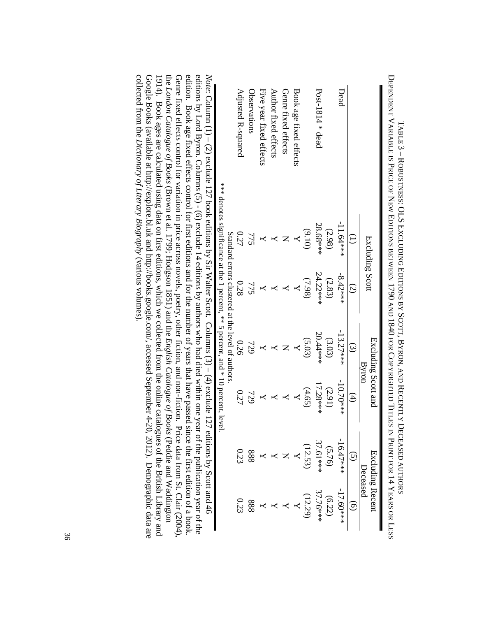|                                                                                                                                                                                                                                                                                                                                                                       | Excluding Scott                                                                   |                                                    | Byron              | Excluding Scott and |             | Excluding Recent<br>Deceased      |
|-----------------------------------------------------------------------------------------------------------------------------------------------------------------------------------------------------------------------------------------------------------------------------------------------------------------------------------------------------------------------|-----------------------------------------------------------------------------------|----------------------------------------------------|--------------------|---------------------|-------------|-----------------------------------|
|                                                                                                                                                                                                                                                                                                                                                                       | $\widehat{\Xi}$                                                                   | $\widehat{S}$                                      | $\widehat{\omega}$ | $\bigoplus$         |             | $\widehat{\Theta}$                |
| Dead                                                                                                                                                                                                                                                                                                                                                                  | $-11.64***$                                                                       | $-8.42***$                                         | $-13.27***$        | $-10.70***$         | $-16.47***$ | $-17.60***$                       |
|                                                                                                                                                                                                                                                                                                                                                                       | (2.98)                                                                            | (2.83)                                             | (3.03)             | (2.91)              | (5.76)      | (6.22)                            |
| Post-1814 $*$ dead                                                                                                                                                                                                                                                                                                                                                    | 28.68 ***                                                                         | 24.22***                                           | 20.44****          | 17.28***            | 37.61***    | 37.76***                          |
|                                                                                                                                                                                                                                                                                                                                                                       | (9.10)                                                                            | (7.98)                                             | (5.03)             | (4.65)              | (12.53)     | (12.29)                           |
| Book age fixed effects                                                                                                                                                                                                                                                                                                                                                |                                                                                   |                                                    |                    |                     |             |                                   |
| Genre fixed effects                                                                                                                                                                                                                                                                                                                                                   |                                                                                   |                                                    |                    |                     |             |                                   |
| Author fixed effects                                                                                                                                                                                                                                                                                                                                                  |                                                                                   |                                                    |                    |                     |             |                                   |
| Five year fixed effects                                                                                                                                                                                                                                                                                                                                               |                                                                                   |                                                    |                    |                     |             |                                   |
| Observations                                                                                                                                                                                                                                                                                                                                                          | 775                                                                               | 775                                                | 729                | 729                 | 888         | 888                               |
| Adjusted R-squared                                                                                                                                                                                                                                                                                                                                                    | 0.27                                                                              | 0.28                                               | 0.26               | 0.27                | 0.23        | 0.23                              |
|                                                                                                                                                                                                                                                                                                                                                                       | *** denotes significance at the 1 percent, ** 5 percent, and * 10 percent, level. | Standard errors clustered at the level of authors. |                    |                     |             |                                   |
| editions by Lord Byron. Columns (5) - (6) exclude 14 editions by authors who had died within one year of the publication year of the<br>Note: Column (1) – (2) exclude 127 exclude 127 exclude 127 exclude 120 exclude 127 exclude 127 exclude 127 exclude 127 exclude 127 exclude 127 exclude 127 exclude 127 exclude 127 exclude 127 exclude 127 exclude 127 exclud |                                                                                   |                                                    |                    |                     |             |                                   |
| equition: Book a ge theors control for first editions and for the number of years that have passed since the first edition of a book                                                                                                                                                                                                                                  |                                                                                   |                                                    |                    |                     |             |                                   |
| Genre fixed effects control for variation in price across novels, poetry, other fiction, and non-fiction.                                                                                                                                                                                                                                                             |                                                                                   |                                                    |                    |                     |             | Price data from St. Clair (2004), |

the London Catalogue of Books (Brown et al. 1799; Hodgson 1851) and the English Catalogue of Books (Peddie and Waddington

(Brown et al. 1799; Hodgson 1851) and the *English Catalogue of Books*

Google Books (available at http://explore.bl.uk and http://books.google.com/, accessed September 4-20, 2012). Demographic data are  $1914$ ). Book ages are calculated using data on first editions, which we collected from the online catalogues of the British Library and  $1917$ .

Google Books (available at http://explore.bl.uk and http://books.google.com/, accessed September 4-20, 2012). Demographic data are 1914). Book ages are calculated using data on first editions, which we collected from the online catalogues of the British Library and

(various volumes).

(Peddie and Waddington

*London Catalogue of Books*

collected from the

*Dictionary of Literary Biography* 

collected from the Dictionary of Literary Biography (various volumes).

TABLE 3 – ROBUSTNESS: OLS EXCLUDING EDITIONS BY SCOTT, BYRON, AND RECENTLY DECEASED AUTHORS DEPENDENT VARIABLE IS PRICE OF NEW EDITIONS BETWEEN 1790 AND 1840 FOR COPYRIGHTED TITLES IN PRINT FOR 14 YEARS OR LESS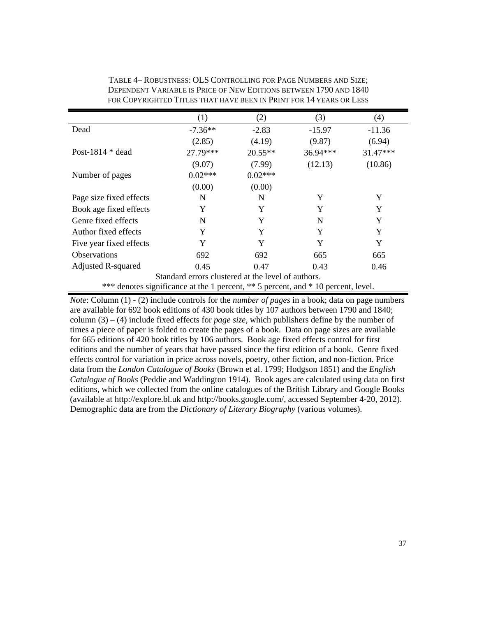|                         | (1)                                                                               | (2)       | (3)        | (4)        |
|-------------------------|-----------------------------------------------------------------------------------|-----------|------------|------------|
| Dead                    | $-7.36**$                                                                         | $-2.83$   | $-15.97$   | $-11.36$   |
|                         | (2.85)                                                                            | (4.19)    | (9.87)     | (6.94)     |
| Post-1814 $*$ dead      | 27.79***                                                                          | $20.55**$ | $36.94***$ | $31.47***$ |
|                         | (9.07)                                                                            | (7.99)    | (12.13)    | (10.86)    |
| Number of pages         | $0.02***$                                                                         | $0.02***$ |            |            |
|                         | (0.00)                                                                            | (0.00)    |            |            |
| Page size fixed effects | N                                                                                 | N         | Y          | Y          |
| Book age fixed effects  | Y                                                                                 | Y         | Y          | Y          |
| Genre fixed effects     | N                                                                                 | Y         | N          | Y          |
| Author fixed effects    | Y                                                                                 | Y         | Y          | Y          |
| Five year fixed effects | Y                                                                                 | Y         | Y          | Y          |
| <b>Observations</b>     | 692                                                                               | 692       | 665        | 665        |
| Adjusted R-squared      | 0.45                                                                              | 0.47      | 0.43       | 0.46       |
|                         | Standard errors clustered at the level of authors.                                |           |            |            |
|                         | *** denotes significance at the 1 percent, ** 5 percent, and * 10 percent, level. |           |            |            |

TABLE 4– ROBUSTNESS: OLS CONTROLLING FOR PAGE NUMBERS AND SIZE; DEPENDENT VARIABLE IS PRICE OF NEW EDITIONS BETWEEN 1790 AND 1840 FOR COPYRIGHTED TITLES THAT HAVE BEEN IN PRINT FOR 14 YEARS OR LESS

*Note*: Column (1) - (2) include controls for the *number of pages* in a book; data on page numbers are available for 692 book editions of 430 book titles by 107 authors between 1790 and 1840; column (3) – (4) include fixed effects for *page size*, which publishers define by the number of times a piece of paper is folded to create the pages of a book. Data on page sizes are available for 665 editions of 420 book titles by 106 authors. Book age fixed effects control for first editions and the number of years that have passed since the first edition of a book. Genre fixed effects control for variation in price across novels, poetry, other fiction, and non-fiction. Price data from the *London Catalogue of Books* (Brown et al. 1799; Hodgson 1851) and the *English Catalogue of Books* (Peddie and Waddington 1914). Book ages are calculated using data on first editions, which we collected from the online catalogues of the British Library and Google Books (available at http://explore.bl.uk and http://books.google.com/, accessed September 4-20, 2012). Demographic data are from the *Dictionary of Literary Biography* (various volumes).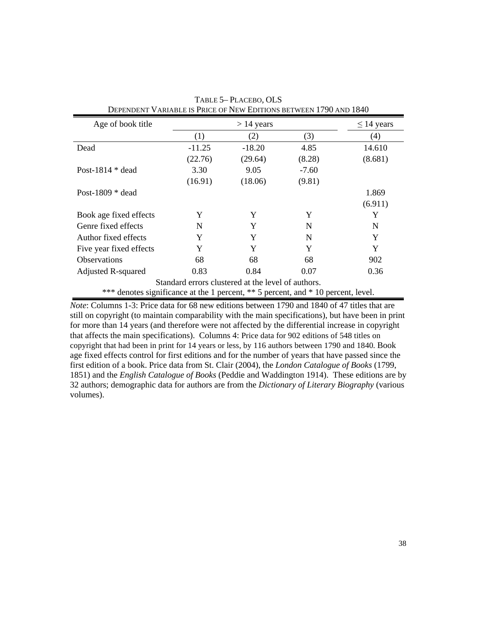| Age of book title                                                                 |          | $> 14$ years                                       |         | $\leq$ 14 years |
|-----------------------------------------------------------------------------------|----------|----------------------------------------------------|---------|-----------------|
|                                                                                   | (1)      | (2)                                                | (3)     | (4)             |
| Dead                                                                              | $-11.25$ | $-18.20$                                           | 4.85    | 14.610          |
|                                                                                   | (22.76)  | (29.64)                                            | (8.28)  | (8.681)         |
| Post-1814 $*$ dead                                                                | 3.30     | 9.05                                               | $-7.60$ |                 |
|                                                                                   | (16.91)  | (18.06)                                            | (9.81)  |                 |
| Post-1809 $*$ dead                                                                |          |                                                    |         | 1.869           |
|                                                                                   |          |                                                    |         | (6.911)         |
| Book age fixed effects                                                            | Y        | Y                                                  | Y       | Y               |
| Genre fixed effects                                                               | N        | Y                                                  | N       | N               |
| Author fixed effects                                                              | Y        | Y                                                  | N       | Y               |
| Five year fixed effects                                                           | Y        | Y                                                  | Y       | Y               |
| <b>Observations</b>                                                               | 68       | 68                                                 | 68      | 902             |
| Adjusted R-squared                                                                | 0.83     | 0.84                                               | 0.07    | 0.36            |
|                                                                                   |          | Standard errors clustered at the level of authors. |         |                 |
| *** denotes significance at the 1 percent, ** 5 percent, and * 10 percent, level. |          |                                                    |         |                 |

TABLE 5– PLACEBO, OLS DEPENDENT VARIABLE IS PRICE OF NEW EDITIONS BETWEEN 1790 AND 1840

*Note*: Columns 1-3: Price data for 68 new editions between 1790 and 1840 of 47 titles that are still on copyright (to maintain comparability with the main specifications), but have been in print for more than 14 years (and therefore were not affected by the differential increase in copyright that affects the main specifications). Columns 4: Price data for 902 editions of 548 titles on copyright that had been in print for 14 years or less, by 116 authors between 1790 and 1840. Book age fixed effects control for first editions and for the number of years that have passed since the first edition of a book. Price data from St. Clair (2004), the *London Catalogue of Books* (1799, 1851) and the *English Catalogue of Books* (Peddie and Waddington 1914). These editions are by 32 authors; demographic data for authors are from the *Dictionary of Literary Biography* (various volumes).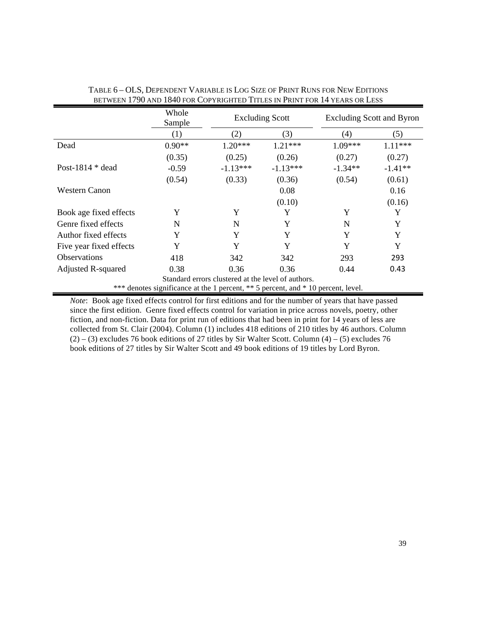|                           | Whole<br>Sample                                                               |                                                    | <b>Excluding Scott</b> | <b>Excluding Scott and Byron</b> |           |
|---------------------------|-------------------------------------------------------------------------------|----------------------------------------------------|------------------------|----------------------------------|-----------|
|                           | (1)                                                                           | (2)                                                | (3)                    | (4)                              | (5)       |
| Dead                      | $0.90**$                                                                      | $1.20***$                                          | $1.21***$              | $1.09***$                        | $1.11***$ |
|                           | (0.35)                                                                        | (0.25)                                             | (0.26)                 | (0.27)                           | (0.27)    |
| Post-1814 $*$ dead        | $-0.59$                                                                       | $-1.13***$                                         | $-1.13***$             | $-1.34**$                        | $-1.41**$ |
|                           | (0.54)                                                                        | (0.33)                                             | (0.36)                 | (0.54)                           | (0.61)    |
| <b>Western Canon</b>      |                                                                               |                                                    | 0.08                   |                                  | 0.16      |
|                           |                                                                               |                                                    | (0.10)                 |                                  | (0.16)    |
| Book age fixed effects    | Y                                                                             | Y                                                  | Y                      | Y                                | Y         |
| Genre fixed effects       | N                                                                             | N                                                  | Y                      | N                                | Y         |
| Author fixed effects      | Y                                                                             | Y                                                  | Y                      | Y                                | Y         |
| Five year fixed effects   | Y                                                                             | Y                                                  | Y                      | Y                                | Y         |
| <b>Observations</b>       | 418                                                                           | 342                                                | 342                    | 293                              | 293       |
| <b>Adjusted R-squared</b> | 0.38                                                                          | 0.36                                               | 0.36                   | 0.44                             | 0.43      |
|                           |                                                                               | Standard errors clustered at the level of authors. |                        |                                  |           |
| ***                       | denotes significance at the 1 percent, ** 5 percent, and * 10 percent, level. |                                                    |                        |                                  |           |

| Table 6 – OLS, Dependent Variable is Log Size of Print Runs for New Editions |
|------------------------------------------------------------------------------|
| BETWEEN 1790 AND 1840 FOR COPYRIGHTED TITLES IN PRINT FOR 14 YEARS OR LESS   |

*Note*: Book age fixed effects control for first editions and for the number of years that have passed since the first edition. Genre fixed effects control for variation in price across novels, poetry, other fiction, and non-fiction. Data for print run of editions that had been in print for 14 years of less are collected from St. Clair (2004). Column (1) includes 418 editions of 210 titles by 46 authors. Column  $(2) - (3)$  excludes 76 book editions of 27 titles by Sir Walter Scott. Column  $(4) - (5)$  excludes 76 book editions of 27 titles by Sir Walter Scott and 49 book editions of 19 titles by Lord Byron.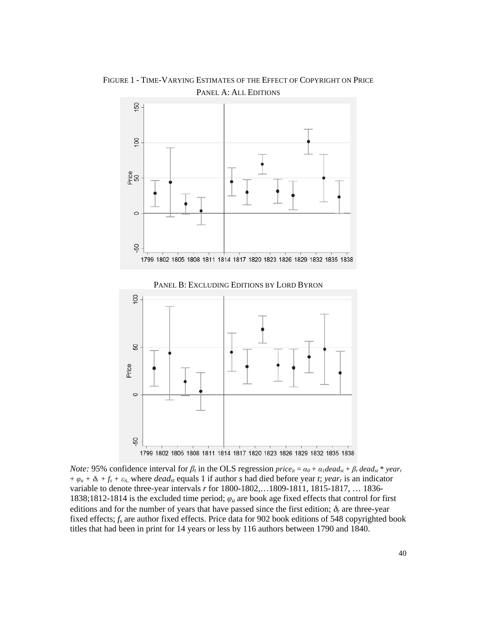

FIGURE 1 - TIME-VARYING ESTIMATES OF THE EFFECT OF COPYRIGHT ON PRICE PANEL A: ALL EDITIONS





*Note:* 95% confidence interval for  $\beta_t$  in the OLS regression *price<sub>it</sub>* =  $\alpha_0 + \alpha_1 dead_{st} + \beta_rdead_{st} * year_r$  $+\varphi_a + \delta_r + f_s + \varepsilon_{it}$ , where *dead<sub>st</sub>* equals 1 if author *s* had died before year *t*; *year<sub>r</sub>* is an indicator variable to denote three-year intervals *r* for 1800-1802,…1809-1811, 1815-1817, … 1836- 1838;1812-1814 is the excluded time period; *φa* are book age fixed effects that control for first editions and for the number of years that have passed since the first edition;  $\delta_r$  are three-year fixed effects; *fs* are author fixed effects. Price data for 902 book editions of 548 copyrighted book titles that had been in print for 14 years or less by 116 authors between 1790 and 1840.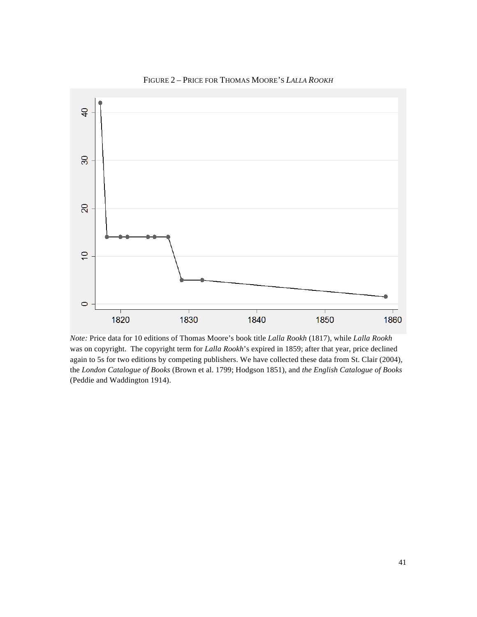

FIGURE 2 – PRICE FOR THOMAS MOORE'S *LALLA ROOKH*

*Note:* Price data for 10 editions of Thomas Moore's book title *Lalla Rookh* (1817), while *Lalla Rookh* was on copyright. The copyright term for *Lalla Rookh*'s expired in 1859; after that year, price declined again to 5s for two editions by competing publishers. We have collected these data from St. Clair (2004), the *London Catalogue of Books* (Brown et al. 1799; Hodgson 1851), and *the English Catalogue of Books* (Peddie and Waddington 1914).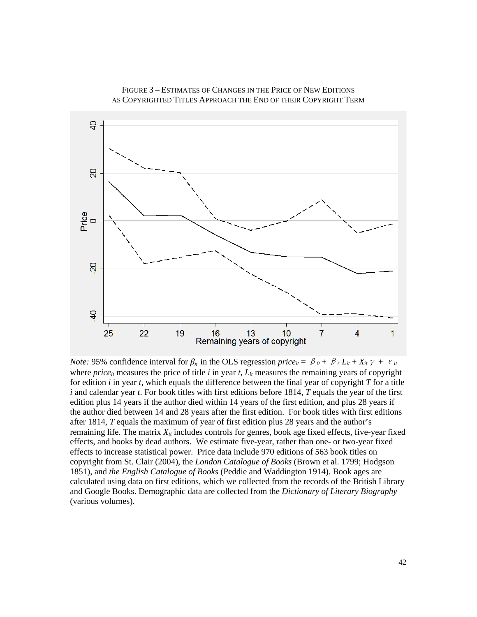



*Note:* 95% confidence interval for  $\beta_s$  in the OLS regression *price*<sub>it</sub> =  $\beta_0 + \beta_s L_{it} + X_{it} \gamma + \varepsilon_i$ where *price<sub>it</sub>* measures the price of title *i* in year *t*,  $L_{it}$  measures the remaining years of copyright for edition *i* in year *t*, which equals the difference between the final year of copyright *T* for a title *i* and calendar year *t*. For book titles with first editions before 1814, *T* equals the year of the first edition plus 14 years if the author died within 14 years of the first edition, and plus 28 years if the author died between 14 and 28 years after the first edition. For book titles with first editions after 1814, *T* equals the maximum of year of first edition plus 28 years and the author's remaining life. The matrix  $X_{it}$  includes controls for genres, book age fixed effects, five-year fixed effects, and books by dead authors. We estimate five-year, rather than one- or two-year fixed effects to increase statistical power. Price data include 970 editions of 563 book titles on copyright from St. Clair (2004), the *London Catalogue of Books* (Brown et al. 1799; Hodgson 1851), and *the English Catalogue of Books* (Peddie and Waddington 1914). Book ages are calculated using data on first editions, which we collected from the records of the British Library and Google Books. Demographic data are collected from the *Dictionary of Literary Biography* (various volumes).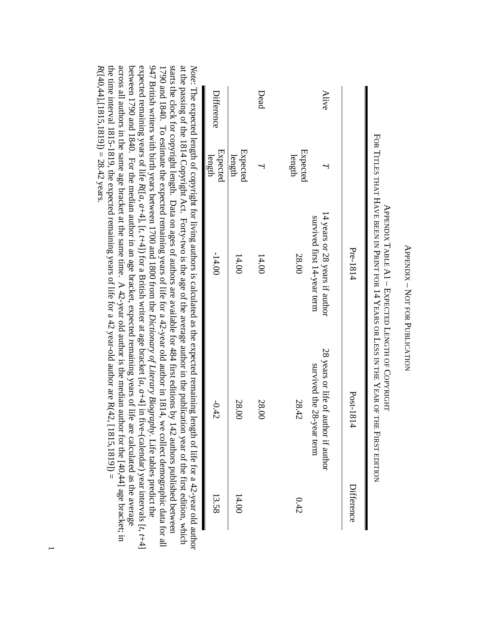| l<br> <br> <br> |
|-----------------|
|                 |
|                 |
| l               |
|                 |
|                 |
|                 |
| .<br>C          |
| í<br>ì          |
|                 |
|                 |
|                 |
|                 |
|                 |
| くしょう            |
|                 |
|                 |
|                 |
|                 |
|                 |
|                 |
|                 |
|                 |

|            |                    | Pre-1814                                                      | Post-1814                                                         | Difference |
|------------|--------------------|---------------------------------------------------------------|-------------------------------------------------------------------|------------|
| Alive      |                    | 14 years or 28 years if author<br>survived first 14-year term | 28 years or life of author if author<br>survived the 28-year term |            |
|            | Expected<br>length | 28.00                                                         | 28.42                                                             | 0.42       |
| Dead       |                    | 14.00                                                         | 28.00                                                             |            |
|            | Expected<br>length | 14.00                                                         | 28.00                                                             | 14.00      |
| Difference | Expected<br>length | $-14.00$                                                      | $-0.42$                                                           | 13.58      |

across all authors in the same age bracket at the same time. A 42-year old author is the median author for the  $[40,44]$  age bracket; in 947 British writers with birth years between 1700 and 1800 from the Dictionary of Literary Biography. Life tables predict the starts the clock for copyright length. Data on ages of authors are available for 484 first editions by 142 authors published between  $R([40,44],[1815,1819]) = 28.42$  years. the time interval 1815-1819, the expected remaining years of life for a 42 year-old author are  $R(42, [1815, 1819]) =$ the time interval 1815-1815-1819, the expected remaining years of life for a 42 year-old author are  $R(42, 1815, 1819)$  = between 1790 and 1840. For the median author in an age bracket, expected remaining years of life are calculated as the average between 1790 and 1840. For the median author in an age bracket, expected remaining years of life are calculated as the average 1790 and 1840. To estimate the expected remaining years of life for a 42-year old author in 1814, we collect demographic data for all *Note*across all authors in the same age bracket at the same time. A 42-year old author is the median author for the  $[40,44]$  age bracket; in expected remaining years of life *R*947 British writers with birth years between 1700 and 1800 from the *Dictionary of Literary Biography*1790 and 1840. To estimate the expected remaining years of life for a 42-year old author in 1814, we collect demographic data for all starts the clock for copyright length. Data on ages of authors are available for 484 first editions by 142 authors published between at the passing of the 1814 Copyright Act. Forty-two is the age of the average author in the publication year of the first edition, which  $(140, 44]$ , [1815,1819]) = 28.42 years. : The expected length of copyright for living authors is calculated as the expected remaining length of life for a 42-year old author ([*a*, *a*+4]*,* [*t*, *t*+4]) for a British writer at age bracket [*a*, *a*+4] in five-(calendar) year intervals [. Life tables predict the *t*, *t*+4] ich thor

—<br>—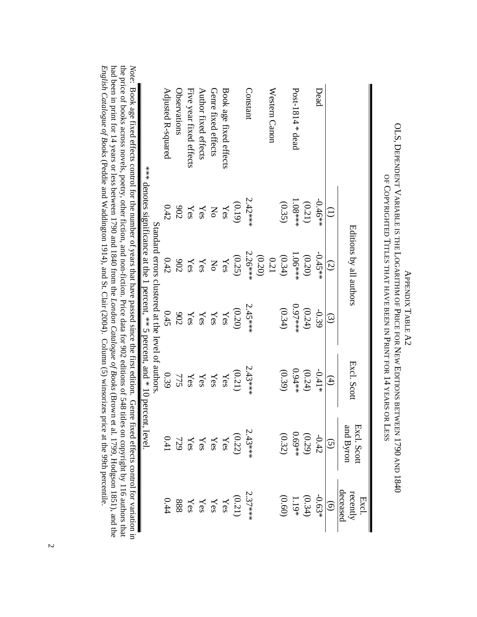|                               |                          |                                                                           |                                                   |                         |             | e price of books across novels, poetry, other fiction, and non-fiction. Price data for 902 editions of 548 titles on copyright by 116 authors that<br>ve: Dook age fixed effects control for the number of years that have passed since the first edition. Genre fixed effects control for variation |
|-------------------------------|--------------------------|---------------------------------------------------------------------------|---------------------------------------------------|-------------------------|-------------|------------------------------------------------------------------------------------------------------------------------------------------------------------------------------------------------------------------------------------------------------------------------------------------------------|
|                               | t, level.                | *** denotes significance at the 1 percent, ** 5 percent, and * 10 percent |                                                   |                         |             |                                                                                                                                                                                                                                                                                                      |
|                               |                          |                                                                           | Standard errors clustered at the level of authors |                         |             |                                                                                                                                                                                                                                                                                                      |
| 0.44                          | 0.41                     | 0.39                                                                      | 0.45                                              | 0.42                    | 0.42        | Adjusted R-squared                                                                                                                                                                                                                                                                                   |
| 888                           | 729                      |                                                                           | <b>206</b>                                        | <b>902</b>              | 902         | Observations                                                                                                                                                                                                                                                                                         |
| Yes                           | Yes                      | $\Upsilon_{75}^{\rm ss}$                                                  | Yes                                               | Yes                     | Yes         | Five year fixed effects                                                                                                                                                                                                                                                                              |
| $\Upsilon_{\rm{es}}$          | $\chi_{\rm{es}}$         | Yes                                                                       | Yes                                               | Yes                     | Yes         | Author fixed effects                                                                                                                                                                                                                                                                                 |
| Yes                           | Yes                      | Yes                                                                       | Yes                                               | $\rm N_{O}$             | $_{\rm No}$ | Genre fixed effects                                                                                                                                                                                                                                                                                  |
| Yes                           | Yes                      | Yes                                                                       | Yes                                               | Yes                     | Yes         | Book age fixed effects                                                                                                                                                                                                                                                                               |
| (0.21)                        | (0.22)                   | (0.21)                                                                    | (0.20)                                            | (0.25)                  | (0.19)      |                                                                                                                                                                                                                                                                                                      |
| $2.37***$                     | $2.43***$                | $2.43***$                                                                 | 2.45****                                          | $2.26$ ***              | $2.42***$   | Constant                                                                                                                                                                                                                                                                                             |
|                               |                          |                                                                           |                                                   | (0.20)                  |             |                                                                                                                                                                                                                                                                                                      |
|                               |                          |                                                                           |                                                   | 0.21                    |             | Western Canon                                                                                                                                                                                                                                                                                        |
| (0.60)                        | (0.32)                   | (0.39)                                                                    | (0.34)                                            | (0.34)                  | (0.35)      |                                                                                                                                                                                                                                                                                                      |
| $1.19*$                       | $0.69**$                 | ***0.04                                                                   | $0.97***$                                         | $1.06***$               | $1.08**$    | Post-1814 $*$ dead                                                                                                                                                                                                                                                                                   |
| (0.34)                        | (0.29)                   | (0.24)                                                                    | (0.24)                                            | (0.20)                  | (0.21)      |                                                                                                                                                                                                                                                                                                      |
| $-0.63*$                      | $-0.42$                  | $-0.41*$                                                                  | -0.39                                             | $-0.45**$               | $-0.46**$   | Dead                                                                                                                                                                                                                                                                                                 |
| $\widehat{\Theta}$            | $\widetilde{S}$          | $\mathfrak{A}$                                                            | $\widehat{\omega}$                                | $\mathcal{Q}$           |             |                                                                                                                                                                                                                                                                                                      |
| deceased<br>recently<br>Excl. | and Byron<br>Excl. Scott | Excl. Scott                                                               |                                                   | Editions by all authors |             |                                                                                                                                                                                                                                                                                                      |

OLS, DEPENDENT VARIABLE IS THE LOGARITHM OF PRICE FOR NEW EDITIONS BETWEEN 1790 AND 1840 DEPENDENT VARIABLE IS OF COPYRIGHTED TITLES THAT HAVE BEEN IN PRINT FOR 14 YEARS OR LESS OF COPYRIGHTED TITLES THAT HAVE BEEN IN PRINT FOR 14 THE LOGARITHM OF PRICE **APPENDIX TABLE A2** APPENDIX TABLE A2 FOR NEW EDITIONS BETWEEN 1790 YEARS OR LESS AND 1840

ne une making a control for variancy color fiction, and non-fiction. Prese data for 902 editions of 548 titles on copyright by 116 authors that had been in print for 14 years or less between 1790 and 1840 from the *London* for variation in the price of books across novels, poetry, other fiction, and non-fiction. Price data for 902 editions of 548 titles on copyright by 116 authors that had been in print for 14 years or less between 1790 and 1840 from the *London Catalogue of Books* (Brown et al. 1799, Hodgson 1851), and the *English Catalogue of Books* (Peddie and Waddington 1914), and St. Clair (2004). Column (5) winsorizes price at the 99th percentile.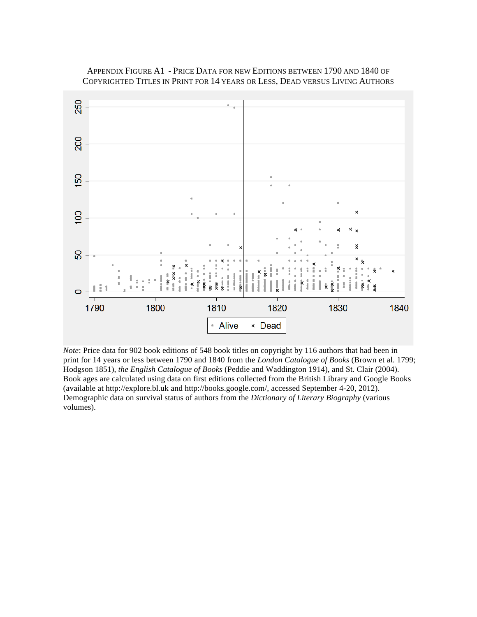

# APPENDIX FIGURE A1 - PRICE DATA FOR NEW EDITIONS BETWEEN 1790 AND 1840 OF COPYRIGHTED TITLES IN PRINT FOR 14 YEARS OR LESS, DEAD VERSUS LIVING AUTHORS

*Note*: Price data for 902 book editions of 548 book titles on copyright by 116 authors that had been in print for 14 years or less between 1790 and 1840 from the *London Catalogue of Books* (Brown et al. 1799; Hodgson 1851), *the English Catalogue of Books* (Peddie and Waddington 1914), and St. Clair (2004). Book ages are calculated using data on first editions collected from the British Library and Google Books (available at http://explore.bl.uk and http://books.google.com/, accessed September 4-20, 2012). Demographic data on survival status of authors from the *Dictionary of Literary Biography* (various volumes).